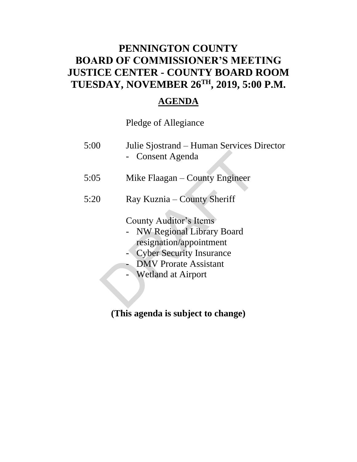## **PENNINGTON COUNTY BOARD OF COMMISSIONER'S MEETING JUSTICE CENTER - COUNTY BOARD ROOM TUESDAY, NOVEMBER 26TH , 2019, 5:00 P.M.**

## **AGENDA**

## Pledge of Allegiance

| 5:00 | Julie Sjostrand – Human Services Director<br>Consent Agenda                                                                                                                                  |
|------|----------------------------------------------------------------------------------------------------------------------------------------------------------------------------------------------|
| 5:05 | Mike Flaagan – County Engineer                                                                                                                                                               |
| 5:20 | Ray Kuznia – County Sheriff                                                                                                                                                                  |
|      | <b>County Auditor's Items</b><br><b>NW Regional Library Board</b><br>resignation/appointment<br><b>Cyber Security Insurance</b><br><b>DMV</b> Prorate Assistant<br><b>Wetland at Airport</b> |

**(This agenda is subject to change)**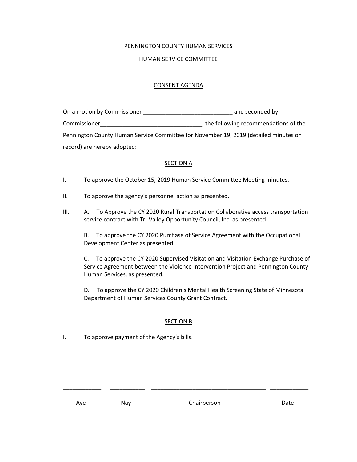#### PENNINGTON COUNTY HUMAN SERVICES

#### HUMAN SERVICE COMMITTEE

#### CONSENT AGENDA

| On a motion by Commissioner | and seconded by                                                                      |
|-----------------------------|--------------------------------------------------------------------------------------|
| Commissioner                | , the following recommendations of the                                               |
|                             | Pennington County Human Service Committee for November 19, 2019 (detailed minutes on |
| record) are hereby adopted: |                                                                                      |

#### **SECTION A**

- I. To approve the October 15, 2019 Human Service Committee Meeting minutes.
- II. To approve the agency's personnel action as presented.
- III. A. To Approve the CY 2020 Rural Transportation Collaborative access transportation service contract with Tri-Valley Opportunity Council, Inc. as presented.

B. To approve the CY 2020 Purchase of Service Agreement with the Occupational Development Center as presented.

C. To approve the CY 2020 Supervised Visitation and Visitation Exchange Purchase of Service Agreement between the Violence Intervention Project and Pennington County Human Services, as presented.

D. To approve the CY 2020 Children's Mental Health Screening State of Minnesota Department of Human Services County Grant Contract.

#### SECTION B

\_\_\_\_\_\_\_\_\_\_\_\_ \_\_\_\_\_\_\_\_\_\_\_ \_\_\_\_\_\_\_\_\_\_\_\_\_\_\_\_\_\_\_\_\_\_\_\_\_\_\_\_\_\_\_\_\_\_\_\_ \_\_\_\_\_\_\_\_\_\_\_\_

I. To approve payment of the Agency's bills.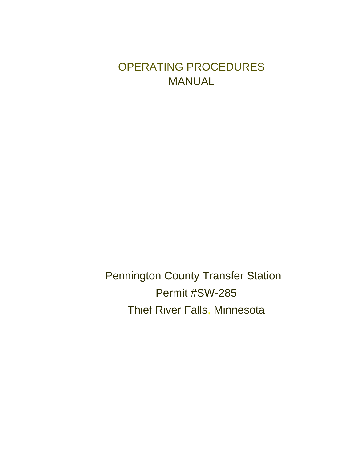## OPERATING PROCEDURES MANUAL

Pennington County Transfer Station Permit #SW-285 Thief River Falls, Minnesota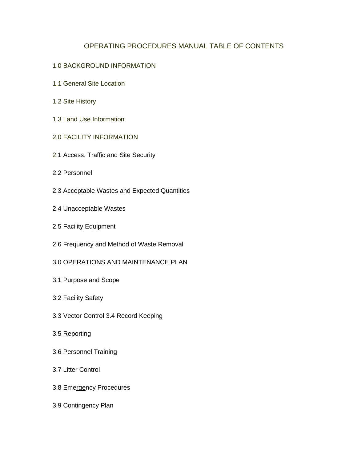## OPERATING PROCEDURES MANUAL TABLE OF CONTENTS

#### 1.0 BACKGROUND INFORMATION

- 1.1 General Site Location
- 1.2 Site History
- 1.3 Land Use Information
- 2.0 FACILITY INFORMATION
- 2.1 Access, Traffic and Site Security
- 2.2 Personnel
- 2.3 Acceptable Wastes and Expected Quantities
- 2.4 Unacceptable Wastes
- 2.5 Facility Equipment
- 2.6 Frequency and Method of Waste Removal
- 3.0 OPERATIONS AND MAINTENANCE PLAN
- 3.1 Purpose and Scope
- 3.2 Facility Safety
- 3.3 Vector Control 3.4 Record Keeping
- 3.5 Reporting
- 3.6 Personnel Training
- 3.7 Litter Control
- 3.8 Emergency Procedures
- 3.9 Contingency Plan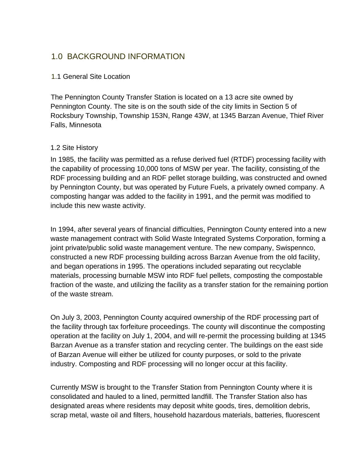## 1.0 BACKGROUND INFORMATION

## 1.1 General Site Location

 The Pennington County Transfer Station is located on a 13 acre site owned by Pennington County. The site is on the south side of the city limits in Section 5 of Rocksbury Township, Township 153N, Range 43W, at 1345 Barzan Avenue, Thief River Falls, Minnesota

### 1.2 Site History

In 1985, the facility was permitted as a refuse derived fuel (RTDF) processing facility with the capability of processing 10,000 tons of MSW per year. The facility, consisting of the RDF processing building and an RDF pellet storage building, was constructed and owned by Pennington County, but was operated by Future Fuels, a privately owned company. A composting hangar was added to the facility in 1991, and the permit was modified to include this new waste activity.

In 1994, after several years of financial difficulties, Pennington County entered into a new waste management contract with Solid Waste Integrated Systems Corporation, forming a joint private/public solid waste management venture. The new company, Swispennco, constructed a new RDF processing building across Barzan Avenue from the old facility, and began operations in 1995. The operations included separating out recyclable materials, processing burnable MSW into RDF fuel pellets, composting the compostable fraction of the waste, and utilizing the facility as a transfer station for the remaining portion of the waste stream.

On July 3, 2003, Pennington County acquired ownership of the RDF processing part of the facility through tax forfeiture proceedings. The county will discontinue the composting operation at the facility on July 1, 2004, and will re-permit the processing building at 1345 Barzan Avenue as a transfer station and recycling center. The buildings on the east side of Barzan Avenue will either be utilized for county purposes, or sold to the private industry. Composting and RDF processing will no longer occur at this facility.

Currently MSW is brought to the Transfer Station from Pennington County where it is consolidated and hauled to a lined, permitted landfill. The Transfer Station also has designated areas where residents may deposit white goods, tires, demolition debris, scrap metal, waste oil and filters, household hazardous materials, batteries, fluorescent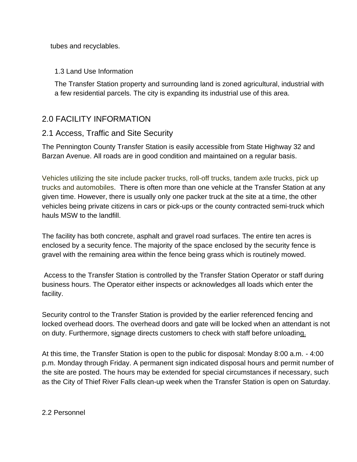tubes and recyclables.

## 1.3 Land Use Information

The Transfer Station property and surrounding land is zoned agricultural, industrial with a few residential parcels. The city is expanding its industrial use of this area.

## 2.0 FACILITY INFORMATION

## 2.1 Access, Traffic and Site Security

The Pennington County Transfer Station is easily accessible from State Highway 32 and Barzan Avenue. All roads are in good condition and maintained on a regular basis.

Vehicles utilizing the site include packer trucks, roll-off trucks, tandem axle trucks, pick up trucks and automobiles. There is often more than one vehicle at the Transfer Station at any given time. However, there is usually only one packer truck at the site at a time, the other vehicles being private citizens in cars or pick-ups or the county contracted semi-truck which hauls MSW to the landfill.

The facility has both concrete, asphalt and gravel road surfaces. The entire ten acres is enclosed by a security fence. The majority of the space enclosed by the security fence is gravel with the remaining area within the fence being grass which is routinely mowed.

Access to the Transfer Station is controlled by the Transfer Station Operator or staff during business hours. The Operator either inspects or acknowledges all loads which enter the facility.

Security control to the Transfer Station is provided by the earlier referenced fencing and locked overhead doors. The overhead doors and gate will be locked when an attendant is not on duty. Furthermore, signage directs customers to check with staff before unloading.

At this time, the Transfer Station is open to the public for disposal: Monday 8:00 a.m. - 4:00 p.m. Monday through Friday. A permanent sign indicated disposal hours and permit number of the site are posted. The hours may be extended for special circumstances if necessary, such as the City of Thief River Falls clean-up week when the Transfer Station is open on Saturday.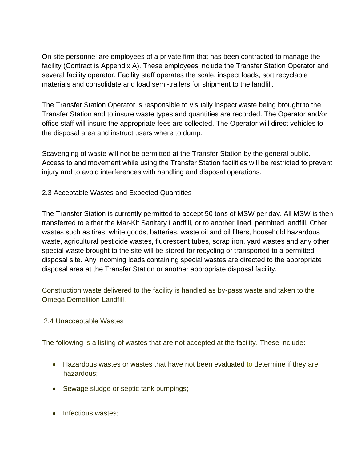On site personnel are employees of a private firm that has been contracted to manage the facility (Contract is Appendix A). These employees include the Transfer Station Operator and several facility operator. Facility staff operates the scale, inspect loads, sort recyclable materials and consolidate and load semi-trailers for shipment to the landfill.

The Transfer Station Operator is responsible to visually inspect waste being brought to the Transfer Station and to insure waste types and quantities are recorded. The Operator and*/*or office staff will insure the appropriate fees are collected. The Operator will direct vehicles to the disposal area and instruct users where to dump.

Scavenging of waste will not be permitted at the Transfer Station by the general public. Access to and movement while using the Transfer Station facilities will be restricted to prevent injury and to avoid interferences with handling and disposal operations.

## 2.3 Acceptable Wastes and Expected Quantities

The Transfer Station is currently permitted to accept 50 tons of MSW per day. All MSW is then transferred to either the Mar-Kit Sanitary Landfill, or to another lined, permitted landfill. Other wastes such as tires, white goods, batteries, waste oil and oil filters, household hazardous waste, agricultural pesticide wastes, fluorescent tubes, scrap iron, yard wastes and any other special waste brought to the site will be stored for recycling or transported to a permitted disposal site. Any incoming loads containing special wastes are directed to the appropriate disposal area at the Transfer Station or another appropriate disposal facility.

Construction waste delivered to the facility is handled as by-pass waste and taken to the Omega Demolition Landfill.

#### 2.4 Unacceptable Wastes

The following is a listing of wastes that are not accepted at the facility. These include:

- Hazardous wastes or wastes that have not been evaluated to determine if they are hazardous;
- Sewage sludge or septic tank pumpings;
- Infectious wastes;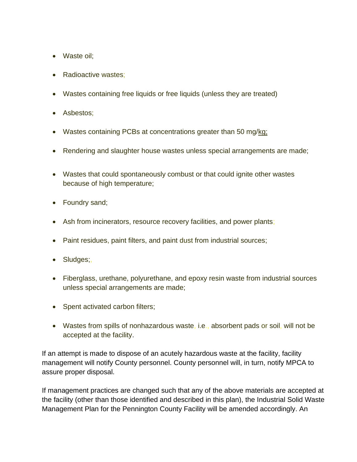- Waste oil;
- Radioactive wastes;
- Wastes containing free liquids or free liquids (unless they are treated)
- Asbestos;
- Wastes containing PCBs at concentrations greater than 50 mg/kg;
- Rendering and slaughter house wastes unless special arrangements are made;
- Wastes that could spontaneously combust or that could ignite other wastes because of high temperature;
- Foundry sand;
- Ash from incinerators, resource recovery facilities, and power plants;
- Paint residues, paint filters, and paint dust from industrial sources;
- Sludges;,
- Fiberglass, urethane, polyurethane, and epoxy resin waste from industrial sources unless special arrangements are made;
- Spent activated carbon filters;
- Wastes from spills of nonhazardous waste, i.e., absorbent pads or soil, will not be accepted at the facility.

If an attempt is made to dispose of an acutely hazardous waste at the facility, facility management will notify County personnel. County personnel will, in turn, notify MPCA to assure proper disposal.

If management practices are changed such that any of the above materials are accepted at the facility (other than those identified and described in this plan), the Industrial Solid Waste Management Plan for the Pennington County Facility will be amended accordingly. An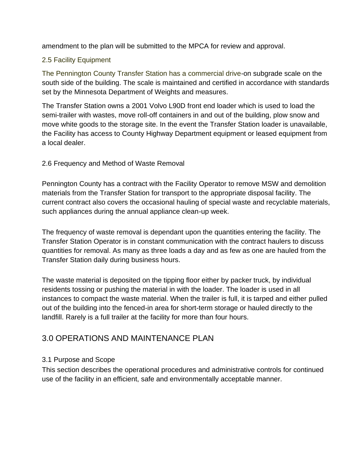amendment to the plan will be submitted to the MPCA for review and approval.

## 2.5 Facility Equipment

The Pennington County Transfer Station has a commercial drive-on subgrade scale on the south side of the building. The scale is maintained and certified in accordance with standards set by the Minnesota Department of Weights and measures.

The Transfer Station owns a 2001 Volvo L90D front end loader which is used to load the semi-trailer with wastes, move roll-off containers in and out of the building, plow snow and move white goods to the storage site. In the event the Transfer Station loader is unavailable, the Facility has access to County Highway Department equipment or leased equipment from a local dealer.

## 2.6 Frequency and Method of Waste Removal

Pennington County has a contract with the Facility Operator to remove MSW and demolition materials from the Transfer Station for transport to the appropriate disposal facility. The current contract also covers the occasional hauling of special waste and recyclable materials, such appliances during the annual appliance clean-up week.

The frequency of waste removal is dependant upon the quantities entering the facility. The Transfer Station Operator is in constant communication with the contract haulers to discuss quantities for removal. As many as three loads a day and as few as one are hauled from the Transfer Station daily during business hours.

The waste material is deposited on the tipping floor either by packer truck, by individual residents tossing or pushing the material in with the loader. The loader is used in all instances to compact the waste material. When the trailer is full, it is tarped and either pulled out of the building into the fenced-in area for short-term storage or hauled directly to the landfill. Rarely is a full trailer at the facility for more than four hours.

## 3.0 OPERATIONS AND MAINTENANCE PLAN

## 3.1 Purpose and Scope

This section describes the operational procedures and administrative controls for continued use of the facility in an efficient, safe and environmentally acceptable manner.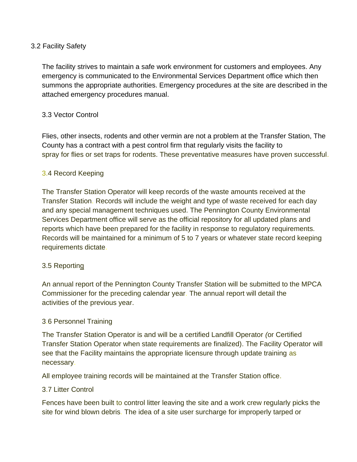### 3.2 Facility Safety

The facility strives to maintain a safe work environment for customers and employees. Any emergency is communicated to the Environmental Services Department office which then summons the appropriate authorities. Emergency procedures at the site are described in the attached emergency procedures manual.

## 3.3 Vector Control

Flies, other insects, rodents and other vermin are not a problem at the Transfer Station, The County has a contract with a pest control firm that regularly visits the facility to spray for flies or set traps for rodents. These preventative measures have proven successful.

### 3.4 Record Keeping

The Transfer Station Operator will keep records of the waste amounts received at the Transfer Station. Records will include the weight and type of waste received for each day and any special management techniques used. The Pennington County Environmental Services Department office will serve as the official repository for all updated plans and reports which have been prepared for the facility in response to regulatory requirements. Records will be maintained for a minimum of 5 to 7 years or whatever state record keeping requirements dictate.

#### 3.5 Reporting

An annual report of the Pennington County Transfer Station will be submitted to the MPCA Commissioner for the preceding calendar year. The annual report will detail the activities of the previous year.

#### 3.6 Personnel Training

The Transfer Station Operator is and will be a certified Landfill Operator *(*or Certified Transfer Station Operator when state requirements are finalized). The Facility Operator will see that the Facility maintains the appropriate licensure through update training as necessary.

All employee training records will be maintained at the Transfer Station office.

#### 3.7 Litter Control

Fences have been built to control litter leaving the site and a work crew regularly picks the site for wind blown debris. The idea of a site user surcharge for improperly tarped or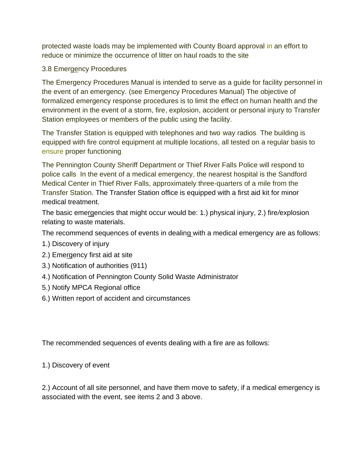protected waste loads may be implemented with County Board approval in an effort to reduce or minimize the occurrence of litter on haul roads to the site.

## 3.8 Emergency Procedures

The Emergency Procedures Manual is intended to serve as a guide for facility personnel in the event of an emergency. (see Emergency Procedures Manual) The objective of formalized emergency response procedures is to limit the effect on human health and the environment in the event of a storm, fire, explosion, accident or personal injury to Transfer Station employees or members of the public using the facility.

The Transfer Station is equipped with telephones and two-way radios. The building is equipped with fire control equipment at multiple locations, all tested on a regular basis to ensure proper functioning.

The Pennington County Sheriff Department or Thief River Falls Police will respond to police calls. In the event of a medical emergency, the nearest hospital is the Sandford Medical Center in Thief River Falls, approximately three-quarters of a mile from the Transfer Station. The Transfer Station office is equipped with a first aid kit for minor medical treatment.

The basic emergencies that might occur would be: 1.) physical injury, 2.) fire*/*explosion relating to waste materials.

The recommend sequences of events in dealing with a medical emergency are as follows:

- 1.) Discovery of injury
- 2.) Emergency first aid at site
- 3.) Notification of authorities (911)
- 4.) Notification of Pennington County Solid Waste Administrator
- 5.) Notify MPC*A* Regional office
- 6.) Written report of accident and circumstances

The recommended sequences of events dealing with a fire are as follows:

1.) Discovery of event

2.) Account of all site personnel, and have them move to safety, if a medical emergency is associated with the event, see items 2 and 3 above.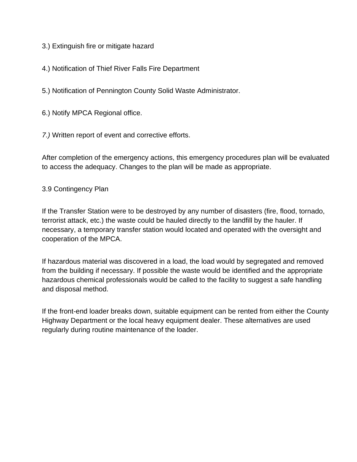- 3.) Extinguish fire or mitigate hazard
- 4.) Notification of Thief River Falls Fire Department
- 5.) Notification of Pennington County Solid Waste Administrator.
- 6.) Notify MPCA Regional office.
- *7.)* Written report of event and corrective efforts.

After completion of the emergency actions, this emergency procedures plan will be evaluated to access the adequacy. Changes to the plan will be made as appropriate.

## 3.9 Contingency Plan

If the Transfer Station were to be destroyed by any number of disasters (fire, flood, tornado, terrorist attack, etc.) the waste could be hauled directly to the landfill by the hauler. If necessary, a temporary transfer station would located and operated with the oversight and cooperation of the MPCA.

If hazardous material was discovered in a load, the load would by segregated and removed from the building if necessary. If possible the waste would be identified and the appropriate hazardous chemical professionals would be called to the facility to suggest a safe handling and disposal method.

If the front-end loader breaks down, suitable equipment can be rented from either the County Highway Department or the local heavy equipment dealer. These alternatives are used regularly during routine maintenance of the loader.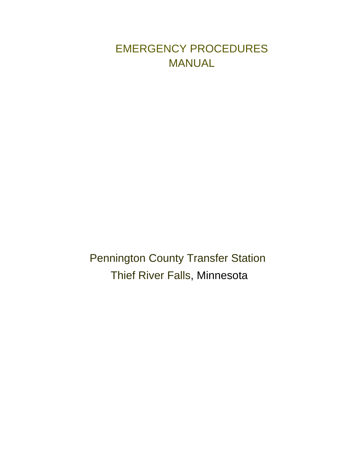## EMERGENCY PROCEDURES MANUAL

Pennington County Transfer Station Thief River Falls, Minnesota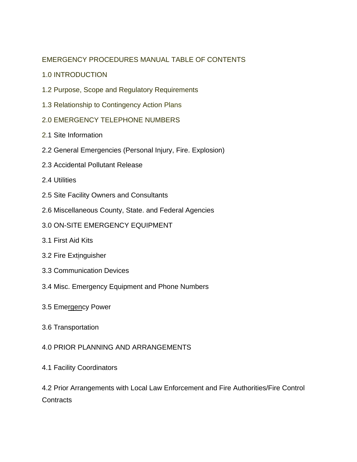## EMERGENCY PROCEDURES MANUAL TABLE OF CONTENTS

- 1.0 INTRODUCTION
- 1.2 Purpose, Scope and Regulatory Requirements
- 1.3 Relationship to Contingency Action Plans
- 2.0 EMERGENCY TELEPHONE NUMBERS
- 2.1 Site Information
- 2.2 General Emergencies (Personal Injury, Fire. Explosion)
- 2.3 Accidental Pollutant Release
- 2.4 Utilities
- 2.5 Site Facility Owners and Consultants
- 2.6 Miscellaneous County, State. and Federal Agencies
- 3.0 ON-SITE EMERGENCY EQUIPMENT
- 3.1 First Aid Kits
- 3.2 Fire Extinguisher
- 3.3 Communication Devices
- 3.4 Misc. Emergency Equipment and Phone Numbers
- 3.5 Emergency Power
- 3.6 Transportation

## 4.0 PRIOR PLANNING AND ARRANGEMENTS

4.1 Facility Coordinators

4.2 Prior Arrangements with Local Law Enforcement and Fire Authorities/Fire Control **Contracts**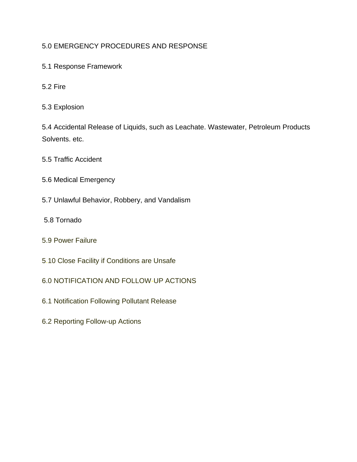## 5.0 EMERGENCY PROCEDURES AND RESPONSE

- 5.1 Response Framework
- 5.2 Fire
- 5.3 Explosion

5.4 Accidental Release of Liquids, such as Leachate. Wastewater, Petroleum Products Solvents. etc.

5.5 Traffic Accident

- 5.6 Medical Emergency
- 5.7 Unlawful Behavior, Robbery, and Vandalism
- 5.8 Tornado
- 5.9 Power Failure
- 5.10 Close Facility if Conditions are Unsafe
- 6.0 NOTIFICATION AND FOLLOW-UP ACTIONS
- 6.1 Notification Following Pollutant Release
- 6.2 Reporting Follow-up Actions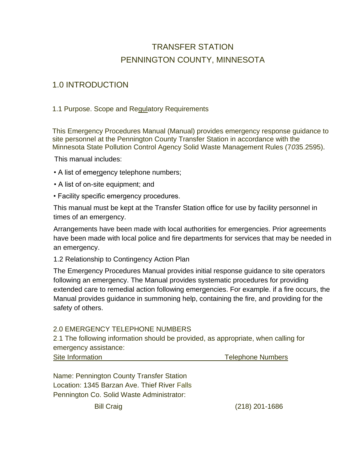## TRANSFER STATION PENNINGTON COUNTY, MINNESOTA

## 1.0 INTRODUCTION

## 1.1 Purpose. Scope and Regulatory Requirements

This Emergency Procedures Manual (Manual) provides emergency response guidance to site personnel at the Pennington County Transfer Station in accordance with the Minnesota State Pollution Control Agency Solid Waste Management Rules (7*0*35.2595).

This manual includes:

- A list of emergency telephone numbers;
- A list of on-site equipment; and
- Facility specific emergency procedures.

This manual must be kept at the Transfer Station office for use by facility personnel in times of an emergency.

Arrangements have been made with local authorities for emergencies. Prior agreements have been made with local police and fire departments for services that may be needed in an emergency.

1.2 Relationship to Contingency Action Plan

The Emergency Procedures Manual provides initial response guidance to site operators following an emergency. The Manual provides systematic procedures for providing extended care to remedial action following emergencies. For example. if a fire occurs, the Manual provides guidance in summoning help, containing the fire, and providing for the safety of others.

#### 2.0 EMERGENCY TELEPHONE NUMBERS

2.1 The following information should be provided, as appropriate, when calling for emergency assistance:

| Site Information | Telephone Numbers |
|------------------|-------------------|
|                  |                   |

Name: Pennington County Transfer Station Location: 1345 Barzan Ave. Thief River Falls Pennington Co. Solid Waste Administrator:

Bill Craig (218) 201-1686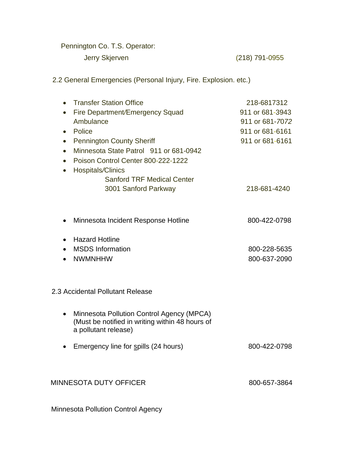Pennington Co. T.S. Operator:

Jerry Skjerven (218) 791-0955

2.2 General Emergencies (Personal Injury, Fire. Explosion. etc.)

| <b>Transfer Station Office</b><br>$\bullet$                                                                                       | 218-6817312     |
|-----------------------------------------------------------------------------------------------------------------------------------|-----------------|
| Fire Department/Emergency Squad<br>$\bullet$                                                                                      | 911 or 681-3943 |
| Ambulance                                                                                                                         | 911 or 681-7072 |
| Police<br>$\bullet$                                                                                                               | 911 or 681-6161 |
| <b>Pennington County Sheriff</b><br>$\bullet$                                                                                     | 911 or 681-6161 |
| Minnesota State Patrol 911 or 681-0942<br>$\bullet$                                                                               |                 |
| Poison Control Center 800-222-1222<br>$\bullet$                                                                                   |                 |
| Hospitals/Clinics<br>$\bullet$                                                                                                    |                 |
| <b>Sanford TRF Medical Center</b>                                                                                                 |                 |
| 3001 Sanford Parkway                                                                                                              | 218-681-4240    |
|                                                                                                                                   |                 |
| Minnesota Incident Response Hotline<br>$\bullet$                                                                                  | 800-422-0798    |
| <b>Hazard Hotline</b>                                                                                                             |                 |
| $\bullet$<br><b>MSDS</b> Information                                                                                              |                 |
| <b>NWMNHHW</b>                                                                                                                    | 800-228-5635    |
|                                                                                                                                   | 800-637-2090    |
|                                                                                                                                   |                 |
| 2.3 Accidental Pollutant Release                                                                                                  |                 |
| Minnesota Pollution Control Agency (MPCA)<br>$\bullet$<br>(Must be notified in writing within 48 hours of<br>a pollutant release) |                 |
| Emergency line for spills (24 hours)<br>$\bullet$                                                                                 | 800-422-0798    |
|                                                                                                                                   |                 |
| MINNESOTA DUTY OFFICER                                                                                                            | 800-657-3864    |
|                                                                                                                                   |                 |

Minnesota Pollution Control Agency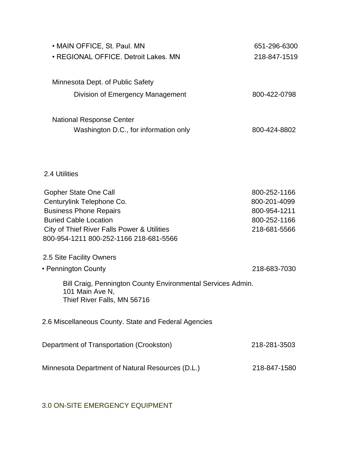| • MAIN OFFICE, St. Paul. MN                                                                                   | 651-296-6300 |
|---------------------------------------------------------------------------------------------------------------|--------------|
| • REGIONAL OFFICE. Detroit Lakes. MN                                                                          | 218-847-1519 |
|                                                                                                               |              |
| Minnesota Dept. of Public Safety                                                                              |              |
| Division of Emergency Management                                                                              | 800-422-0798 |
| <b>National Response Center</b>                                                                               |              |
| Washington D.C., for information only                                                                         | 800-424-8802 |
|                                                                                                               |              |
|                                                                                                               |              |
| 2.4 Utilities                                                                                                 |              |
| <b>Gopher State One Call</b>                                                                                  | 800-252-1166 |
| Centurylink Telephone Co.                                                                                     | 800-201-4099 |
| <b>Business Phone Repairs</b>                                                                                 | 800-954-1211 |
| <b>Buried Cable Location</b>                                                                                  | 800-252-1166 |
| City of Thief River Falls Power & Utilities                                                                   | 218-681-5566 |
| 800-954-1211 800-252-1166 218-681-5566                                                                        |              |
| 2.5 Site Facility Owners                                                                                      |              |
| • Pennington County                                                                                           | 218-683-7030 |
| Bill Craig, Pennington County Environmental Services Admin.<br>101 Main Ave N,<br>Thief River Falls, MN 56716 |              |
| 2.6 Miscellaneous County. State and Federal Agencies                                                          |              |
| Department of Transportation (Crookston)                                                                      | 218-281-3503 |
| Minnesota Department of Natural Resources (D.L.)                                                              | 218-847-1580 |
|                                                                                                               |              |

3.0 ON-SITE EMERGENCY EQUIPMENT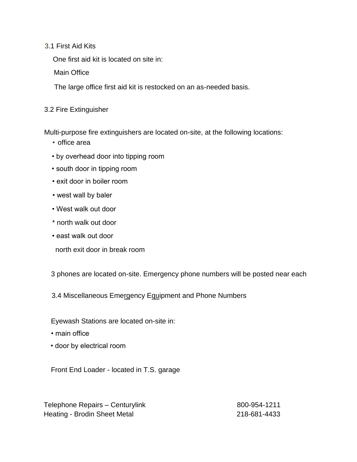### 3.1 First Aid Kits

One first aid kit is located on site in:

Main Office

The large office first aid kit is restocked on an as-needed basis.

## 3.2 Fire Extinguisher

Multi-purpose fire extinguishers are located on-site, at the following locations:

- office area
- by overhead door into tipping room
- south door in tipping room
- exit door in boiler room
- west wall by baler
- West walk out door
- \* north walk out door
- east walk out door
- north exit door in break room

3 phones are located on-site. Emergency phone numbers will be posted near each

3.4 Miscellaneous Emergency Equipment and Phone Numbers

Eyewash Stations are located on-site in:

- main office
- door by electrical room

Front End Loader - located in T.S. garage

Telephone Repairs – Centurylink 800-954-1211 Heating - Brodin Sheet Metal 218-681-4433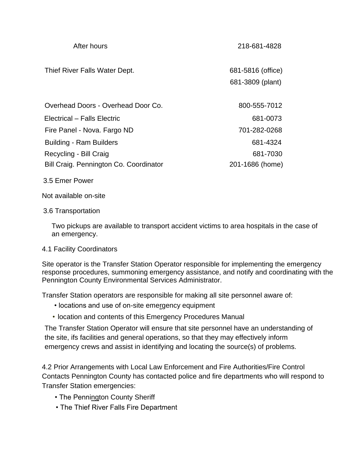| After hours                            | 218-681-4828                          |
|----------------------------------------|---------------------------------------|
| Thief River Falls Water Dept.          | 681-5816 (office)<br>681-3809 (plant) |
| Overhead Doors - Overhead Door Co.     | 800-555-7012                          |
| Electrical - Falls Electric            | 681-0073                              |
| Fire Panel - Nova. Fargo ND            | 701-282-0268                          |
| <b>Building - Ram Builders</b>         | 681-4324                              |
| Recycling - Bill Craig                 | 681-7030                              |
| Bill Craig. Pennington Co. Coordinator | 201-1686 (home)                       |

3.5 Emer Power

Not available on-site

#### 3.6 Transportation

Two pickups are available to transport accident victims to area hospitals in the case of an emergency.

#### 4.1 Facility Coordinators

Site operator is the Transfer Station Operator responsible for implementing the emergency response procedures, summoning emergency assistance, and notify and coordinating with the Pennington County Environmental Services Administrator.

Transfer Station operators are responsible for making all site personnel aware of:

- locations and use of on-site emergency equipment
- location and contents of this Emergency Procedures Manual

The Transfer Station Operator will ensure that site personnel have an understanding of the site, ifs facilities and general operations, so that they may effectively inform emergency crews and assist in identifying and locating the source(s) of problems.

4.2 Prior Arrangements with Local Law Enforcement and Fire Authorities/Fire Control Contacts Pennington County has contacted police and fire departments who will respond to Transfer Station emergencies:

- The Pennington County Sheriff
- The Thief River Falls Fire Department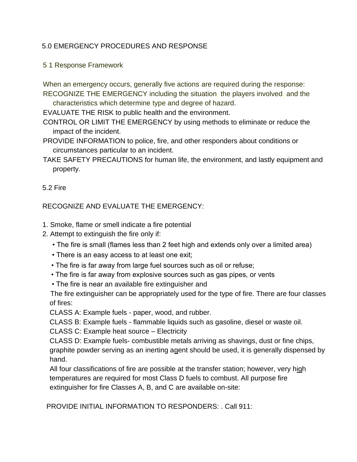## 5.0 EMERGENCY PROCEDURES AND RESPONSE

5.1 Response Framework

When an emergency occurs, generally five actions are required during the response: RECOGNIZE THE EMERGENCY including the situation, the players involved, and the

characteristics which determine type and degree of hazard.

EVALUATE THE RISK to public health and the environment.

- CONTROL OR LIMIT THE EMERGENCY by using methods to eliminate or reduce the impact of the incident.
- PROVIDE INFORMATION to police, fire, and other responders about conditions or circumstances particular to an incident.
- TAKE SAFETY PRECAUTIONS for human life, the environment, and lastly equipment and property.

### 5.2 Fire

RECOGNIZE AND EVALUATE THE EMERGENCY:

- 1. Smoke, flame or smell indicate a fire potential
- 2. Attempt to extinguish the fire only if:
	- The fire is small (flames less than 2 feet high and extends only over a limited area)
	- There is an easy access to at least one exit;
	- The fire is far away from large fuel sources such as oil or refuse;
	- The fire is far away from explosive sources such as gas pipes, or vents
	- The fire is near an available fire extinguisher and

 The fire extinguisher can be appropriately used for the type of fire. There are four classes of fires:

CLASS A: Example fuels - paper, wood, and rubber.

CLASS B: Example fuels - flammable liquids such as gasoline, diesel or waste oil.

CLASS C: Example heat source – Electricity

CLASS D: Example fuels- combustible metals arriving as shavings, dust or fine chips, graphite powder serving as an inerting agent should be used, it is generally dispensed by hand.

All four classifications of fire are possible at the transfer station; however, very high temperatures are required for most Class D fuels to combust. All purpose fire extinguisher for fire Classes A, B, and C are available on-site:

PROVIDE INITIAL INFORMATION TO RESPONDERS: . Call 911: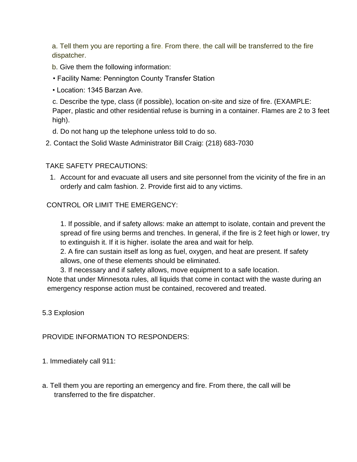a. Tell them you are reporting a fire. From there, the call will be transferred to the fire dispatcher.

b. Give them the following information:

- Facility Name: Pennington County Transfer Station
- Location: 1345 Barzan Ave.

c. Describe the type, class (if possible), location on-site and size of fire. (EXAMPLE: Paper, plastic and other residential refuse is burning in a container. Flames are 2 to 3 feet high).

- d. Do not hang up the telephone unless told to do so.
- 2. Contact the Solid Waste Administrator Bill Craig: (218) 683-7030

## TAKE SAFETY PRECAUTIONS:

1. Account for and evacuate all users and site personnel from the vicinity of the fire in an orderly and calm fashion. 2. Provide first aid to any victims.

## CONTROL OR LIMIT THE EMERGENCY:

1. If possible, and if safety allows: make an attempt to isolate, contain and prevent the spread of fire using berms and trenches. In general, if the fire is 2 feet high or lower, try to extinguish it. If it is higher. isolate the area and wait for help.

2. A fire can sustain itself as long as fuel, oxygen, and heat are present. If safety allows, one of these elements should be eliminated.

3. If necessary and if safety allows, move equipment to a safe location. Note that under Minnesota rules, all liquids that come in contact with the waste during an emergency response action must be contained, recovered and treated.

5.3 Explosion

## PROVIDE INFORMATION TO RESPONDERS:

1. Immediately call 911:

a. Tell them you are reporting an emergency and fire. From there, the call will be transferred to the fire dispatcher.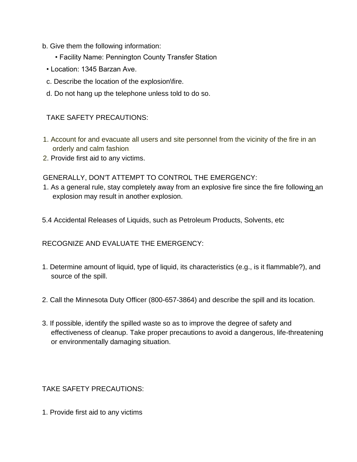- b. Give them the following information:
	- Facility Name: Pennington County Transfer Station
	- Location: 1345 Barzan Ave.
	- c. Describe the location of the explosion\fire.
	- d. Do not hang up the telephone unless told to do so.

## TAKE SAFETY PRECAUTIONS:

- 1. Account for and evacuate all users and site personnel from the vicinity of the fire in an orderly and calm fashion.
- 2. Provide first aid to any victims.

GENERALLY, DON'T ATTEMPT TO CONTROL THE EMERGENCY:

- 1. As a general rule, stay completely away from an explosive fire since the fire following an explosion may result in another explosion.
- 5.4 Accidental Releases of Liquids, such as Petroleum Products, Solvents, etc

RECOGNIZE AND EVALUATE THE EMERGENCY:

- 1. Determine amount of liquid, type of liquid, its characteristics (e.g., is it flammable?), and source of the spill.
- 2. Call the Minnesota Duty Officer (800-657-3864) and describe the spill and its location.
- 3. If possible, identify the spilled waste so as to improve the degree of safety and effectiveness of cleanup. Take proper precautions to avoid a dangerous, life-threatening or environmentally damaging situation.

#### TAKE SAFETY PRECAUTIONS:

1. Provide first aid to any victims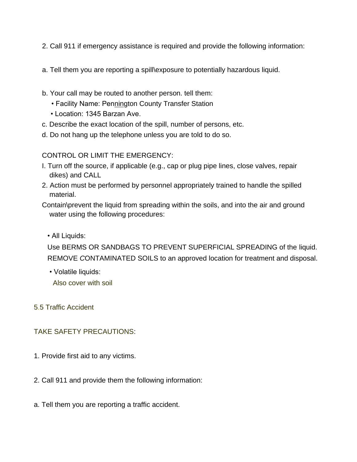- 2. Call 911 if emergency assistance is required and provide the following information:
- a. Tell them you are reporting a spill\exposure to potentially hazardous liquid.
- b. Your call may be routed to another person. tell them:
	- Facility Name: Pennington County Transfer Station
	- Location: 1345 Barzan Ave.
- c. Describe the exact location of the spill, number of persons, etc.
- d. Do not hang up the telephone unless you are told to do so.

CONTROL OR LIMIT THE EMERGENCY:

- I. Turn off the source, if applicable (e.g., cap or plug pipe lines, close valves, repair dikes) and CALL
- 2. Action must be performed by personnel appropriately trained to handle the spilled material.
- Contain\prevent the liquid from spreading within the soils, and into the air and ground water using the following procedures:

• All Liquids:

Use BERMS OR SANDBAGS TO PREVENT SUPERFICIAL SPREADING of the liquid. REMOVE *C*ONTAMINATED SOILS to an approved location for treatment and disposal.

• Volatile liquids:

Also cover with soil

5.5 Traffic Accident

## TAKE SAFETY PRECAUTIONS:

- 1. Provide first aid to any victims.
- 2. Call 911 and provide them the following information:
- a. Tell them you are reporting a traffic accident.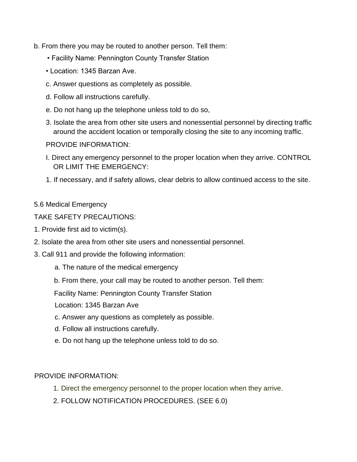- b. From there you may be routed to another person. Tell them:
	- Facility Name: Pennington County Transfer Station
	- Location: 1345 Barzan Ave.
	- c. Answer questions as completely as possible.
	- d. Follow all instructions carefully.
	- e. Do not hang up the telephone unless told to do so,
	- 3. Isolate the area from other site users and nonessential personnel by directing traffic around the accident location or temporally closing the site to any incoming traffic.

#### PROVIDE INFORMATION:

- I. Direct any emergency personnel to the proper location when they arrive. CONTROL OR LIMIT THE EMERGENCY:
- 1. If necessary, and if safety allows, clear debris to allow continued access to the site.

#### 5.6 Medical Emergency

#### TAKE S*A*FETY PRECAUTIONS:

- 1. Provide first aid to victim(s).
- 2. Isolate the area from other site users and nonessential personnel.
- 3. Call 911 and provide the following information:
	- a. The nature of the medical emergency
	- b. From there, your call may be routed to another person. Tell them:

Facility Name: Pennington County Transfer Station

Location: 1345 Barzan Ave

- c. Answer any questions as completely as possible.
- d. Follow all instructions carefully.
- e. Do not hang up the telephone unless told to do so.

#### PROVIDE INFORMATION:

- 1. Direct the emergency personnel to the proper location when they arrive.
- 2. FOLLOW NOTIFICATION PROCEDURES. (SEE 6.0)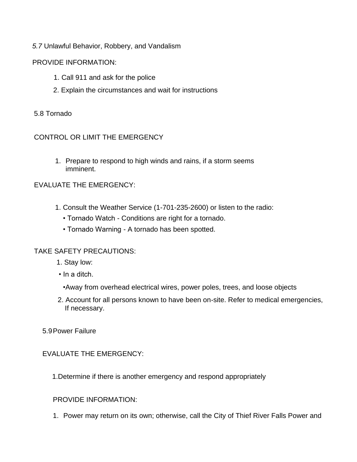## *5.7* Unlawful Behavior, Robbery, and Vandalism

### PROVIDE INFORMATION:

- 1. Call 911 and ask for the police
- 2. Explain the circumstances and wait for instructions

### 5.8 Tornado

### CONTROL OR LIMIT THE EMERGENCY

1. Prepare to respond to high winds and rains, if a storm seems imminent.

### EVALUATE THE EMERGENCY:

- 1. Consult the Weather Service (1-701-235-2600) or listen to the radio:
	- Tornado Watch Conditions are right for a tornado.
	- Tornado Warning A tornado has been spotted.

## TAKE SAFETY PRECAUTIONS:

- 1. Stay low:
- In a ditch.
	- •Away from overhead electrical wires, power poles, trees, and loose objects
- 2. Account for all persons known to have been on-site. Refer to medical emergencies, If necessary.
- 5.9Power Failure

## EVALUATE THE EMERGENCY:

1.Determine if there is another emergency and respond appropriately

#### PROVIDE INFORMATION:

1. Power may return on its own; otherwise, call the City of Thief River Falls Power and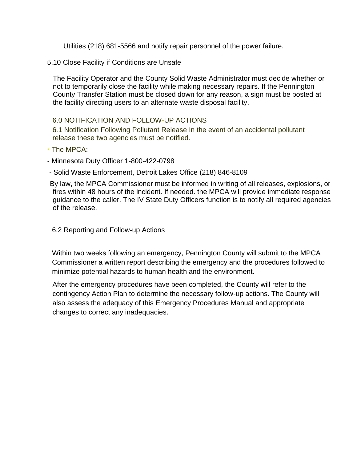Utilities (218) 681-5566 and notify repair personnel of the power failure.

5.10 Close Facility if Conditions are Unsafe

The Facility Operator and the County Solid Waste Administrator must decide whether or not to temporarily close the facility while making necessary repairs. If the Pennington County Transfer Station must be closed down for any reason, a sign must be posted at the facility directing users to an alternate waste disposal facility.

#### 6.0 NOTIFICATION AND FOLLOW-UP ACTIONS

6.1 Notification Following Pollutant Release In the event of an accidental pollutant release these two agencies must be notified.

- The MPCA:
- Minnesota Duty Officer 1-800-422-0798
- Solid Waste Enforcement, Detroit Lakes Office (218) 846-8109

By law, the MPCA Commissioner must be informed in writing of all releases, explosions, or fires within 48 hours of the incident. If needed. the MPCA will provide immediate response guidance to the caller. The IV State Duty Officers function is to notify all required agencies of the release.

6.2 Reporting and Follow-up Actions

Within two weeks following an emergency, Pennington County will submit to the MPCA Commissioner a written report describing the emergency and the procedures followed to minimize potential hazards to human health and the environment.

After the emergency procedures have been completed, the County will refer to the contingency Action Plan to determine the necessary follow-up actions. The County will also assess the adequacy of this Emergency Procedures Manual and appropriate changes to correct any inadequacies.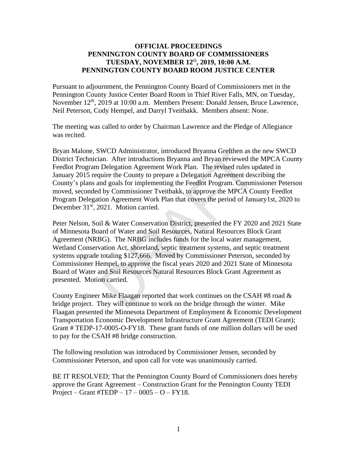#### **OFFICIAL PROCEEDINGS PENNINGTON COUNTY BOARD OF COMMISSIONERS TUESDAY, NOVEMBER 12**th **, 2019, 10:00 A.M. PENNINGTON COUNTY BOARD ROOM JUSTICE CENTER**

Pursuant to adjournment, the Pennington County Board of Commissioners met in the Pennington County Justice Center Board Room in Thief River Falls, MN, on Tuesday, November 12<sup>th</sup>, 2019 at 10:00 a.m. Members Present: Donald Jensen, Bruce Lawrence, Neil Peterson, Cody Hempel, and Darryl Tveitbakk. Members absent: None.

The meeting was called to order by Chairman Lawrence and the Pledge of Allegiance was recited.

Bryan Malone, SWCD Administrator, introduced Bryanna Grefthen as the new SWCD District Technician. After introductions Bryanna and Bryan reviewed the MPCA County Feedlot Program Delegation Agreement Work Plan. The revised rules updated in January 2015 require the County to prepare a Delegation Agreement describing the County's plans and goals for implementing the Feedlot Program. Commissioner Peterson moved, seconded by Commissioner Tveitbakk, to approve the MPCA County Feedlot Program Delegation Agreement Work Plan that covers the period of January1st, 2020 to December 31<sup>st</sup>, 2021. Motion carried.

Peter Nelson, Soil & Water Conservation District, presented the FY 2020 and 2021 State of Minnesota Board of Water and Soil Resources, Natural Resources Block Grant Agreement (NRBG). The NRBG includes funds for the local water management, Wetland Conservation Act, shoreland, septic treatment systems, and septic treatment systems upgrade totaling \$127,666. Moved by Commissioner Peterson, seconded by Commissioner Hempel, to approve the fiscal years 2020 and 2021 State of Minnesota Board of Water and Soil Resources Natural Resources Block Grant Agreement as presented. Motion carried. WCD Administrator, introduced Bryanna Gretthen as the and After introductions Bryanna and Bryan reviewed the Delegation Agreement Work Plan. The revised rules up quire the County to prepare a Delegation Agreement descend g

County Engineer Mike Flaagan reported that work continues on the CSAH #8 road & bridge project. They will continue to work on the bridge through the winter. Mike Flaagan presented the Minnesota Department of Employment & Economic Development Transportation Economic Development Infrastructure Grant Agreement (TEDI Grant); Grant # TEDP-17-0005-O-FY18. These grant funds of one million dollars will be used to pay for the CSAH #8 bridge construction.

The following resolution was introduced by Commissioner Jensen, seconded by Commissioner Peterson, and upon call for vote was unanimously carried.

BE IT RESOLVED; That the Pennington County Board of Commissioners does hereby approve the Grant Agreement – Construction Grant for the Pennington County TEDI Project – Grant #TEDP –  $17 - 0005 - O$  – FY18.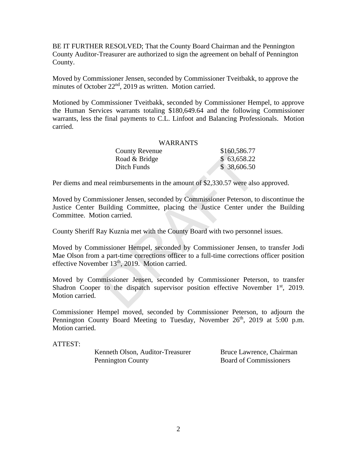BE IT FURTHER RESOLVED; That the County Board Chairman and the Pennington County Auditor-Treasurer are authorized to sign the agreement on behalf of Pennington County.

Moved by Commissioner Jensen, seconded by Commissioner Tveitbakk, to approve the minutes of October 22<sup>nd</sup>, 2019 as written. Motion carried.

Motioned by Commissioner Tveitbakk, seconded by Commissioner Hempel, to approve the Human Services warrants totaling \$180,649.64 and the following Commissioner warrants, less the final payments to C.L. Linfoot and Balancing Professionals. Motion carried.

#### WARRANTS

| <b>County Revenue</b> | \$160,586.77 |
|-----------------------|--------------|
| Road & Bridge         | \$63,658.22  |
| Ditch Funds           | \$38,606.50  |

Per diems and meal reimbursements in the amount of \$2,330.57 were also approved.

Moved by Commissioner Jensen, seconded by Commissioner Peterson, to discontinue the Justice Center Building Committee, placing the Justice Center under the Building Committee. Motion carried. County Revenue<br>
Road & Bridge<br>
Solo, 586.77<br>
Road & Bridge<br>
Solo, 586.72<br>
Ditch Funds<br>
Solo, 58.22<br>
Ditch Funds<br>
Solo.580.50<br>
eal reimbursements in the amount of \$2,330.57 were also<br>
insisioner Jensen, seconded by Commiss

County Sheriff Ray Kuznia met with the County Board with two personnel issues.

Moved by Commissioner Hempel, seconded by Commissioner Jensen, to transfer Jodi Mae Olson from a part-time corrections officer to a full-time corrections officer position effective November  $13<sup>th</sup>$ , 2019. Motion carried.

Moved by Commissioner Jensen, seconded by Commissioner Peterson, to transfer Shadron Cooper to the dispatch supervisor position effective November 1<sup>st</sup>, 2019. Motion carried.

Commissioner Hempel moved, seconded by Commissioner Peterson, to adjourn the Pennington County Board Meeting to Tuesday, November 26<sup>th</sup>, 2019 at 5:00 p.m. Motion carried.

ATTEST:

Kenneth Olson, Auditor-Treasurer Bruce Lawrence, Chairman Pennington County Board of Commissioners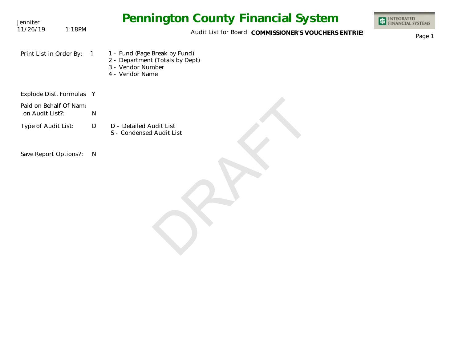| Jennifer                                  |                | <b>Pennington County Financial System</b>                                                                | INTEGRATED<br>FINANCIAL SYSTEMS |
|-------------------------------------------|----------------|----------------------------------------------------------------------------------------------------------|---------------------------------|
| 11/26/19<br>1:18PM                        |                | Audit List for Board COMMISSIONER'S VOUCHERS ENTRIES                                                     | Page 1                          |
| Print List in Order By:                   | $\overline{1}$ | 1 - Fund (Page Break by Fund)<br>2 - Department (Totals by Dept)<br>3 - Vendor Number<br>4 - Vendor Name |                                 |
| Explode Dist. Formulas Y                  |                |                                                                                                          |                                 |
| Paid on Behalf Of Name<br>on Audit List?: | N              |                                                                                                          |                                 |
| Type of Audit List:                       | D              | D - Detailed Audit List<br>S - Condensed Audit List                                                      |                                 |
| Save Report Options?:                     | N              |                                                                                                          |                                 |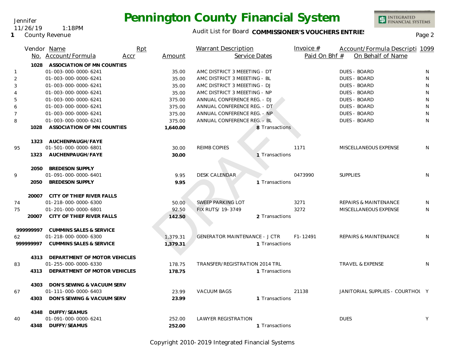## Audit List for Board COMMISSIONER'S VOUCHERS ENTRIES<br>Page 2

|                | Vendor Name                        | Rpt            | Warrant Description                  | Invoice $#$    | Account/Formula Descripti 1099   |   |
|----------------|------------------------------------|----------------|--------------------------------------|----------------|----------------------------------|---|
|                | No. Account/Formula                | Accr<br>Amount | Service Dates                        | Paid On Bhf #  | On Behalf of Name                |   |
| 1028           | ASSOCIATION OF MN COUNTIES         |                |                                      |                |                                  |   |
| $\mathbf{1}$   | 01-003-000-0000-6241               | 35.00          | AMC DISTRICT 3 MEEETING - DT         |                | <b>DUES - BOARD</b>              | N |
| $\overline{2}$ | 01-003-000-0000-6241               | 35.00          | AMC DISTRICT 3 MEEETING - BL         |                | <b>DUES - BOARD</b>              | N |
| 3              | 01-003-000-0000-6241               | 35.00          | AMC DISTRICT 3 MEEETING - DJ         |                | <b>DUES - BOARD</b>              | N |
| $\overline{4}$ | 01-003-000-0000-6241               | 35.00          | AMC DISTRICT 3 MEEETING - NP         |                | <b>DUES - BOARD</b>              | N |
| 5              | 01-003-000-0000-6241               | 375.00         | ANNUAL CONFERENCE REG. - DJ          |                | <b>DUES - BOARD</b>              | N |
| 6              | 01-003-000-0000-6241               | 375.00         | ANNUAL CONFERENCE REG. - DT          |                | <b>DUES - BOARD</b>              | N |
| $\overline{7}$ | 01-003-000-0000-6241               | 375.00         | ANNUAL CONFERENCE REG. - NP.         |                | <b>DUES - BOARD</b>              | N |
| 8              | 01-003-000-0000-6241               | 375.00         | ANNUAL CONFERENCE REG. - BL          |                | <b>DUES - BOARD</b>              | N |
| 1028           | ASSOCIATION OF MN COUNTIES         | 1,640.00       |                                      | 8 Transactions |                                  |   |
|                |                                    |                |                                      |                |                                  |   |
|                | 1323 AUCHENPAUGH/FAYE              |                |                                      |                |                                  |   |
| 95             | 01-501-000-0000-6801               | 30.00          | <b>REIMB COPIES</b>                  | 1171           | MISCELLANEOUS EXPENSE            | N |
| 1323           | AUCHENPAUGH/FAYE                   | 30.00          |                                      | 1 Transactions |                                  |   |
|                |                                    |                |                                      |                |                                  |   |
| 2050           | <b>BREDESON SUPPLY</b>             |                |                                      |                |                                  |   |
| 9              | 01-091-000-0000-6401               | 9.95           | <b>DESK CALENDAR</b>                 | 0473990        | SUPPLIES                         | N |
| 2050           | <b>BREDESON SUPPLY</b>             | 9.95           |                                      | 1 Transactions |                                  |   |
|                | 20007 CITY OF THIEF RIVER FALLS    |                |                                      |                |                                  |   |
| 74             | 01-218-000-0000-6300               | 50.00          | <b>SWEEP PARKING LOT</b>             | 3271           | <b>REPAIRS &amp; MAINTENANCE</b> | N |
| 75             | 01-201-000-0000-6801               | 92.50          | FIX RUTS/ 19-3749                    | 3272           | MISCELLANEOUS EXPENSE            | N |
| 20007          | CITY OF THIEF RIVER FALLS          | 142.50         |                                      | 2 Transactions |                                  |   |
|                |                                    |                |                                      |                |                                  |   |
| 99999997       | <b>CUMMINS SALES &amp; SERVICE</b> |                |                                      |                |                                  |   |
| 62             | 01-218-000-0000-6300               | 1,379.31       | <b>GENERATOR MAINTENANCE - J CTR</b> | $F1 - 12491$   | <b>REPAIRS &amp; MAINTENANCE</b> | N |
| 99999997       | <b>CUMMINS SALES &amp; SERVICE</b> | 1,379.31       |                                      | 1 Transactions |                                  |   |
|                |                                    |                |                                      |                |                                  |   |
|                | 4313 DEPARTMENT OF MOTOR VEHICLES  |                |                                      |                |                                  |   |
| 83             | 01-255-000-0000-6330               | 178.75         | TRANSFER/REGISTRATION 2014 TRL       |                | <b>TRAVEL &amp; EXPENSE</b>      | N |
| 4313           | DEPARTMENT OF MOTOR VEHICLES       | 178.75         |                                      | 1 Transactions |                                  |   |
|                |                                    |                |                                      |                |                                  |   |
|                | 4303 DON'S SEWING & VACUUM SERV    |                |                                      |                |                                  |   |
| 67             | 01-111-000-0000-6403               | 23.99          | <b>VACUUM BAGS</b>                   | 21138          | JANITORIAL SUPPLIES - COURTHOL Y |   |
| 4303           | DON'S SEWING & VACUUM SERV         | 23.99          |                                      | 1 Transactions |                                  |   |
|                |                                    |                |                                      |                |                                  |   |

 40 252.00 252.00 1 Transactions **4348 DUFFY/SEAMUS** LAWYER REGISTRATION DUES DUES Y **4348** Transactions **DUFFY/SEAMUS**

Copyright 2010-2019 Integrated Financial Systems

**1** County Revenue

## Jennifer 11/26/19 1:18PM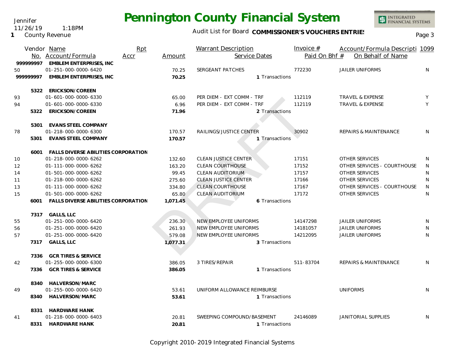Jennifer 11/26/19 1:18PM

#### **1** County Revenue

## Audit List for Board COMMISSIONER'S VOUCHERS ENTRIES<br>Page 3

|                   |          | Vendor Name                                | Rpt  |          | Warrant Description         | Invoice $#$    | Account/Formula Descripti 1099   |              |
|-------------------|----------|--------------------------------------------|------|----------|-----------------------------|----------------|----------------------------------|--------------|
|                   |          | No. Account/Formula                        | Accr | Amount   | Service Dates               | Paid On Bhf #  | On Behalf of Name                |              |
|                   | 99999997 | <b>EMBLEM ENTERPRISES, INC</b>             |      |          |                             |                |                                  |              |
| 50                |          | 01-251-000-0000-6420                       |      | 70.25    | SERGEANT PATCHES            | 772230         | <b>JAILER UNIFORMS</b>           | N            |
|                   | 99999997 | <b>EMBLEM ENTERPRISES, INC</b>             |      | 70.25    |                             | 1 Transactions |                                  |              |
|                   |          |                                            |      |          |                             |                |                                  |              |
|                   |          | 5322 ERICKSON/COREEN                       |      |          |                             |                |                                  |              |
| 93                |          | 01-601-000-0000-6330                       |      | 65.00    | PER DIEM - EXT COMM - TRF   | 112119         | <b>TRAVEL &amp; EXPENSE</b>      | Y            |
| 94                |          | 01-601-000-0000-6330                       |      | 6.96     | PER DIEM - EXT COMM - TRF   | 112119         | <b>TRAVEL &amp; EXPENSE</b>      | Y            |
|                   | 5322     | ERICKSON/COREEN                            |      | 71.96    |                             | 2 Transactions |                                  |              |
|                   |          |                                            |      |          |                             |                |                                  |              |
|                   |          | 5301 EVANS STEEL COMPANY                   |      |          |                             |                |                                  |              |
| 78                |          | 01-218-000-0000-6300                       |      | 170.57   | RAILINGS/JUSTICE CENTER     | 30902          | <b>REPAIRS &amp; MAINTENANCE</b> | N            |
|                   | 5301     | <b>EVANS STEEL COMPANY</b>                 |      | 170.57   |                             | 1 Transactions |                                  |              |
|                   |          |                                            |      |          |                             |                |                                  |              |
|                   | 6001     | <b>FALLS DIVERSE ABILITIES CORPORATION</b> |      |          |                             |                |                                  |              |
| 10                |          | 01-218-000-0000-6262                       |      | 132.60   | <b>CLEAN JUSTICE CENTER</b> | 17151          | OTHER SERVICES                   | N            |
| $12 \overline{ }$ |          | 01-111-000-0000-6262                       |      | 163.20   | <b>CLEAN COURTHOUSE</b>     | 17152          | OTHER SERVICES - COURTHOUSE      | $\mathsf{N}$ |
| 14                |          | 01-501-000-0000-6262                       |      | 99.45    | <b>CLEAN AUDITORIUM</b>     | 17157          | <b>OTHER SERVICES</b>            | N            |
| 11                |          | 01-218-000-0000-6262                       |      | 275.60   | <b>CLEAN JUSTICE CENTER</b> | 17166          | <b>OTHER SERVICES</b>            | N            |
| 13                |          | 01-111-000-0000-6262                       |      | 334.80   | <b>CLEAN COURTHOUSE</b>     | 17167          | OTHER SERVICES - COURTHOUSE      | N            |
| 15                |          | 01-501-000-0000-6262                       |      | 65.80    | <b>CLEAN AUDITORIUM</b>     | 17172          | <b>OTHER SERVICES</b>            | N            |
|                   | 6001     | FALLS DIVERSE ABILITIES CORPORATION        |      | 1,071.45 |                             | 6 Transactions |                                  |              |
|                   |          |                                            |      |          |                             |                |                                  |              |
|                   |          | 7317 GALLS, LLC                            |      |          |                             |                |                                  |              |
| 55                |          | 01-251-000-0000-6420                       |      | 236.30   | NEW EMPLOYEE UNIFORMS       | 14147298       | <b>JAILER UNIFORMS</b>           | N            |
| 56                |          | 01-251-000-0000-6420                       |      | 261.93   | NEW EMPLOYEE UNIFORMS       | 14181057       | <b>JAILER UNIFORMS</b>           | N            |
| 57                |          | 01-251-000-0000-6420                       |      | 579.08   | NEW EMPLOYEE UNIFORMS       | 14212095       | <b>JAILER UNIFORMS</b>           | N            |
|                   |          | 7317 GALLS, LLC                            |      | 1,077.31 |                             | 3 Transactions |                                  |              |
|                   |          | 7336 GCR TIRES & SERVICE                   |      |          |                             |                |                                  |              |
| 42                |          | 01-255-000-0000-6300                       |      | 386.05   | 3 TIRES/REPAIR              | 511-83704      | <b>REPAIRS &amp; MAINTENANCE</b> | N            |
|                   | 7336     | <b>GCR TIRES &amp; SERVICE</b>             |      | 386.05   |                             | 1 Transactions |                                  |              |
|                   |          |                                            |      |          |                             |                |                                  |              |
|                   | 8340     | HALVERSON/MARC                             |      |          |                             |                |                                  |              |
| 49                |          | 01-255-000-0000-6420                       |      | 53.61    | UNIFORM ALLOWANCE REIMBURSE |                | <b>UNIFORMS</b>                  | N.           |
|                   | 8340     | HALVERSON/MARC                             |      | 53.61    |                             | 1 Transactions |                                  |              |
|                   |          |                                            |      |          |                             |                |                                  |              |
|                   | 8331     | <b>HARDWARE HANK</b>                       |      |          |                             |                |                                  |              |
| 41                |          | 01-218-000-0000-6403                       |      | 20.81    | SWEEPING COMPOUND/BASEMENT  | 24146089       | <b>JANITORIAL SUPPLIES</b>       | N            |
|                   | 8331     | <b>HARDWARE HANK</b>                       |      | 20.81    |                             | 1 Transactions |                                  |              |

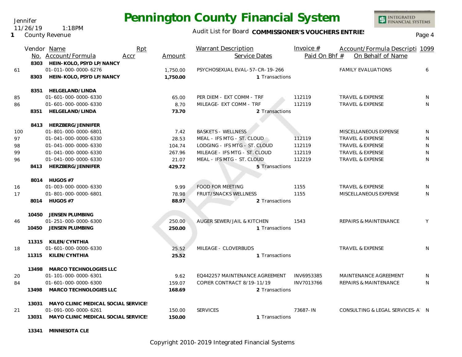Jennifer 11/26/19 1:18PM

**1** County Revenue

## Audit List for Board COMMISSIONER'S VOUCHERS ENTRIES<br>Page 4

|     |       | Vendor Name                                                 | Rpt  |                  | <b>Warrant Description</b>                            |                | Invoice $#$      | Account/Formula Descripti 1099                             |              |
|-----|-------|-------------------------------------------------------------|------|------------------|-------------------------------------------------------|----------------|------------------|------------------------------------------------------------|--------------|
|     |       | No. Account/Formula                                         | Accr | Amount           | Service Dates                                         |                | Paid On Bhf #    | On Behalf of Name                                          |              |
|     |       | 8303 HEIN-KOLO, PSYD LP/NANCY                               |      |                  |                                                       |                |                  |                                                            |              |
| 61  |       | 01-011-000-0000-6276                                        |      | 1,750.00         | PSYCHOSEXUAL EVAL-57-CR-19-266                        |                |                  | <b>FAMILY EVALUATIONS</b>                                  | 6            |
|     | 8303  | HEIN-KOLO, PSYD LP/NANCY                                    |      | 1,750.00         |                                                       | 1 Transactions |                  |                                                            |              |
|     |       |                                                             |      |                  |                                                       |                |                  |                                                            |              |
|     |       | 8351 HELGELAND/LINDA                                        |      |                  |                                                       |                |                  |                                                            |              |
| 85  |       | 01-601-000-0000-6330                                        |      | 65.00            | PER DIEM - EXT COMM - TRF<br>MILEAGE - EXT COMM - TRF |                | 112119<br>112119 | <b>TRAVEL &amp; EXPENSE</b><br><b>TRAVEL &amp; EXPENSE</b> | N<br>N       |
| 86  | 8351  | 01-601-000-0000-6330<br>HELGELAND/LINDA                     |      | 8.70<br>73.70    |                                                       | 2 Transactions |                  |                                                            |              |
|     |       |                                                             |      |                  |                                                       |                |                  |                                                            |              |
|     |       | 8413 HERZBERG/JENNIFER                                      |      |                  |                                                       |                |                  |                                                            |              |
| 100 |       | 01-801-000-0000-6801                                        |      | 7.42             | <b>BASKETS - WELLNESS</b>                             |                |                  | MISCELLANEOUS EXPENSE                                      | N            |
| 97  |       | 01-041-000-0000-6330                                        |      | 28.53            | MEAL - IFS MTG - ST. CLOUD                            |                | 112119           | <b>TRAVEL &amp; EXPENSE</b>                                | N            |
| 98  |       | 01-041-000-0000-6330                                        |      | 104.74           | LODGING - IFS MTG - ST. CLOUD                         |                | 112119           | <b>TRAVEL &amp; EXPENSE</b>                                | N            |
| 99  |       | 01-041-000-0000-6330                                        |      | 267.96           | MILEAGE - IFS MTG - ST. CLOUD                         |                | 112119           | TRAVEL & EXPENSE                                           | $\mathsf{N}$ |
| 96  |       | 01-041-000-0000-6330                                        |      | 21.07            | MEAL - IFS MTG - ST. CLOUD                            |                | 112219           | <b>TRAVEL &amp; EXPENSE</b>                                | $\mathsf{N}$ |
|     | 8413  | HERZBERG/JENNIFER                                           |      | 429.72           |                                                       | 5 Transactions |                  |                                                            |              |
|     |       |                                                             |      |                  |                                                       |                |                  |                                                            |              |
|     |       | 8014 HUGOS #7                                               |      |                  |                                                       |                |                  |                                                            |              |
| 16  |       | 01-003-000-0000-6330                                        |      | 9.99             | <b>FOOD FOR MEETING</b>                               |                | 1155             | TRAVEL & EXPENSE                                           | N            |
| 17  |       | 01-801-000-0000-6801                                        |      | 78.98            | <b>FRUIT/SNACKS WELLNESS</b>                          |                | 1155             | MISCELLANEOUS EXPENSE                                      | N            |
|     |       | 8014 HUGOS #7                                               |      | 88.97            |                                                       | 2 Transactions |                  |                                                            |              |
|     |       |                                                             |      |                  |                                                       |                |                  |                                                            |              |
|     |       | 10450 JENSEN PLUMBING<br>01-251-000-0000-6300               |      |                  | AUGER SEWER/JAIL & KITCHEN                            |                | 1543             | <b>REPAIRS &amp; MAINTENANCE</b>                           | Y            |
| 46  | 10450 | JENSEN PLUMBING                                             |      | 250.00<br>250.00 |                                                       | 1 Transactions |                  |                                                            |              |
|     |       |                                                             |      |                  |                                                       |                |                  |                                                            |              |
|     |       | 11315 KILEN/CYNTHIA                                         |      |                  |                                                       |                |                  |                                                            |              |
| 18  |       | 01-601-000-0000-6330                                        |      | 25.52            | MILEAGE - CLOVERBUDS                                  |                |                  | <b>TRAVEL &amp; EXPENSE</b>                                | N            |
|     |       | 11315 KILEN/CYNTHIA                                         |      | 25.52            |                                                       | 1 Transactions |                  |                                                            |              |
|     |       |                                                             |      |                  |                                                       |                |                  |                                                            |              |
|     | 13498 | MARCO TECHNOLOGIES LLC                                      |      |                  |                                                       |                |                  |                                                            |              |
| 20  |       | 01-101-000-0000-6301                                        |      | 9.62             | EQ442257 MAINTENANCE AGREEMENT                        |                | INV6953385       | MAINTENANCE AGREEMENT                                      | N            |
| 84  |       | 01-601-000-0000-6300                                        |      | 159.07           | COPIER CONTRACT 8/19-11/19                            |                | INV7013766       | <b>REPAIRS &amp; MAINTENANCE</b>                           | N            |
|     | 13498 | <b>MARCO TECHNOLOGIES LLC</b>                               |      | 168.69           |                                                       | 2 Transactions |                  |                                                            |              |
|     |       |                                                             |      |                  |                                                       |                |                  |                                                            |              |
|     | 13031 | MAYO CLINIC MEDICAL SOCIAL SERVICES<br>01-091-000-0000-6261 |      |                  | <b>SERVICES</b>                                       |                | 73687-IN         | CONSULTING & LEGAL SERVICES-A N                            |              |
| 21  |       | 13031 MAYO CLINIC MEDICAL SOCIAL SERVICES                   |      | 150.00<br>150.00 |                                                       | 1 Transactions |                  |                                                            |              |
|     |       |                                                             |      |                  |                                                       |                |                  |                                                            |              |

**13341 MINNESOTA CLE**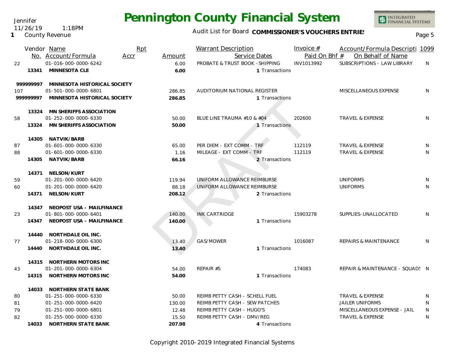Jennifer 11/26/19 1:18PM

**1** County Revenue

## Audit List for Board COMMISSIONER'S VOUCHERS ENTRIES<br>Page 5

|          | Vendor Name<br>No. Account/Formula | Rpt<br>Accr | Amount | <b>Warrant Description</b><br>Service Dates | Invoice $#$<br>Paid On Bhf # | Account/Formula Descripti 1099<br>On Behalf of Name |   |
|----------|------------------------------------|-------------|--------|---------------------------------------------|------------------------------|-----------------------------------------------------|---|
| 22       | 01-016-000-0000-6242               |             | 6.00   | PROBATE & TRUST BOOK - SHIPPING             | INV1013992                   | SUBSCRIPTIONS - LAW LIBRARY                         | N |
|          | 13341 MINNESOTA CLE                |             | 6.00   | 1 Transactions                              |                              |                                                     |   |
|          |                                    |             |        |                                             |                              |                                                     |   |
| 99999997 | MINNESOTA HISTORICAL SOCIETY       |             |        |                                             |                              |                                                     |   |
| 107      | 01-501-000-0000-6801               |             | 286.85 | AUDITORIUM NATIONAL REGISTER                |                              | MISCELLANEOUS EXPENSE                               | N |
| 99999997 | MINNESOTA HISTORICAL SOCIETY       |             | 286.85 | 1 Transactions                              |                              |                                                     |   |
|          | 13324 MN SHERIFFS ASSOCIATION      |             |        |                                             |                              |                                                     |   |
| 58       | 01-252-000-0000-6330               |             | 50.00  | BLUE LINE TRAUMA #10 & #04                  | 202600                       | <b>TRAVEL &amp; EXPENSE</b>                         | N |
| 13324    | MN SHERIFFS ASSOCIATION            |             | 50.00  | 1 Transactions                              |                              |                                                     |   |
|          |                                    |             |        |                                             |                              |                                                     |   |
|          | 14305 NATVIK/BARB                  |             |        |                                             |                              |                                                     |   |
| 87       | 01-601-000-0000-6330               |             | 65.00  | PER DIEM - EXT COMM - TRF                   | 112119                       | <b>TRAVEL &amp; EXPENSE</b>                         | N |
| 88       | 01-601-000-0000-6330               |             | 1.16   | MILEAGE - EXT COMM - TRF                    | 112119                       | TRAVEL & EXPENSE                                    | N |
|          | 14305 NATVIK/BARB                  |             | 66.16  | 2 Transactions                              |                              |                                                     |   |
|          | 14371 NELSON/KURT                  |             |        |                                             |                              |                                                     |   |
| 59       | 01-201-000-0000-6420               |             | 119.94 | UNIFORM ALLOWANCE REIMBURSE                 |                              | <b>UNIFORMS</b>                                     | N |
| 60       | 01-201-000-0000-6420               |             | 88.18  | UNIFORM ALLOWANCE REIMBURSE                 |                              | <b>UNIFORMS</b>                                     | N |
|          | 14371 NELSON/KURT                  |             | 208.12 | 2 Transactions                              |                              |                                                     |   |
|          | 14347 NEOPOST USA - MAILFINANCE    |             |        |                                             |                              |                                                     |   |
| 23       | 01-801-000-0000-6401               |             | 140.00 | <b>INK CARTRIDGE</b>                        | 15903278                     | SUPPLIES-UNALLOCATED                                | N |
|          | 14347 NEOPOST USA - MAILFINANCE    |             | 140.00 | 1 Transactions                              |                              |                                                     |   |
|          |                                    |             |        |                                             |                              |                                                     |   |
|          | 14440 NORTHDALE OIL INC.           |             |        |                                             |                              |                                                     |   |
| 77       | 01-218-000-0000-6300               |             | 13.40  | GAS/MOWER                                   | 1016087                      | <b>REPAIRS &amp; MAINTENANCE</b>                    | N |
|          | 14440 NORTHDALE OIL INC.           |             | 13.40  | 1 Transactions                              |                              |                                                     |   |
|          | 14315 NORTHERN MOTORS INC          |             |        |                                             |                              |                                                     |   |
| 43       | 01-201-000-0000-6304               |             | 54.00  | REPAIR #5                                   | 174083                       | REPAIR & MAINTENANCE - SQUAD! N                     |   |
|          | 14315 NORTHERN MOTORS INC          |             | 54.00  | 1 Transactions                              |                              |                                                     |   |
|          | 14033 NORTHERN STATE BANK          |             |        |                                             |                              |                                                     |   |
| 80       | 01-251-000-0000-6330               |             | 50.00  | REIMB PETTY CASH - SCHELL FUEL              |                              | TRAVEL & EXPENSE                                    | N |
| 81       | 01-251-000-0000-6420               |             | 130.00 | REIMB PETTY CASH - SEW PATCHES              |                              | <b>JAILER UNIFORMS</b>                              | N |
| 79       | 01-251-000-0000-6801               |             | 12.48  | REIMB PETTY CASH - HUGO'S                   |                              | MISCELLANEOUS EXPENSE - JAIL                        | N |
| 82       | 01-255-000-0000-6330               |             | 15.50  | REIMB PETTY CASH - DMV/REG                  |                              | <b>TRAVEL &amp; EXPENSE</b>                         | N |
|          | 14033 NORTHERN STATE BANK          |             | 207.98 | 4 Transactions                              |                              |                                                     |   |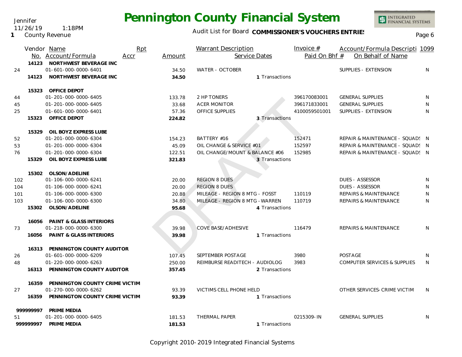Jennifer 11/26/19 1:18PM

**1** County Revenue

## Audit List for Board COMMISSIONER'S VOUCHERS ENTRIES<br>Page 6

|     |           | Vendor Name                          | Rpt  |        | Warrant Description             | Invoice $#$   | Account/Formula Descripti 1099          |    |
|-----|-----------|--------------------------------------|------|--------|---------------------------------|---------------|-----------------------------------------|----|
|     |           | No. Account/Formula                  | Accr | Amount | Service Dates                   | Paid On Bhf # | On Behalf of Name                       |    |
|     |           | 14123 NORTHWEST BEVERAGE INC         |      |        |                                 |               |                                         |    |
| 24  |           | 01-601-000-0000-6401                 |      | 34.50  | WATER - OCTOBER                 |               | SUPPLIES - EXTENSION                    | N  |
|     |           | 14123 NORTHWEST BEVERAGE INC         |      | 34.50  | 1 Transactions                  |               |                                         |    |
|     |           |                                      |      |        |                                 |               |                                         |    |
|     |           | 15323 OFFICE DEPOT                   |      |        |                                 |               |                                         |    |
| 44  |           | 01-201-000-0000-6405                 |      | 133.78 | 2 HP TONERS                     | 396170083001  | <b>GENERAL SUPPLIES</b>                 | N  |
| 45  |           | 01-201-000-0000-6405                 |      | 33.68  | <b>ACER MONITOR</b>             | 396171833001  | <b>GENERAL SUPPLIES</b>                 | N  |
| 25  |           | 01-601-000-0000-6401                 |      | 57.36  | OFFICE SUPPLIES                 | 4100059501001 | SUPPLIES - EXTENSION                    | N  |
|     | 15323     | OFFICE DEPOT                         |      | 224.82 | 3 Transactions                  |               |                                         |    |
|     |           |                                      |      |        |                                 |               |                                         |    |
|     | 15329     | OIL BOYZ EXPRESS LUBE                |      |        |                                 |               |                                         |    |
| 52  |           | 01-201-000-0000-6304                 |      | 154.23 | BATTERY #16                     | 152471        | REPAIR & MAINTENANCE - SQUAD! N         |    |
| 53  |           | 01-201-000-0000-6304                 |      | 45.09  | OIL CHANGE & SERVICE #01        | 152597        | REPAIR & MAINTENANCE - SQUAD! N         |    |
| 76  |           | 01-201-000-0000-6304                 |      | 122.51 | OIL CHANGE/MOUNT & BALANCE #06  | 152985        | REPAIR & MAINTENANCE - SQUAD! N         |    |
|     | 15329     | OIL BOYZ EXPRESS LUBE                |      | 321.83 | 3 Transactions                  |               |                                         |    |
|     |           |                                      |      |        |                                 |               |                                         |    |
|     | 15302     | OLSON/ADELINE                        |      |        |                                 |               |                                         |    |
| 102 |           | 01-106-000-0000-6241                 |      | 20.00  | <b>REGION 8 DUES</b>            |               | <b>DUES - ASSESSOR</b>                  | N  |
| 104 |           | 01-106-000-0000-6241                 |      | 20.00  | <b>REGION 8 DUES</b>            |               | <b>DUES - ASSESSOR</b>                  | N  |
| 101 |           | 01-106-000-0000-6300                 |      | 20.88  | MILEAGE - REGION 8 MTG - FOSST  | 110119        | <b>REPAIRS &amp; MAINTENANCE</b>        | N  |
| 103 |           | 01-106-000-0000-6300                 |      | 34.80  | MILEAGE - REGION 8 MTG - WARREN | 110719        | <b>REPAIRS &amp; MAINTENANCE</b>        | N  |
|     | 15302     | OLSON/ADELINE                        |      | 95.68  | 4 Transactions                  |               |                                         |    |
|     |           |                                      |      |        |                                 |               |                                         |    |
|     | 16056     | <b>PAINT &amp; GLASS INTERIORS</b>   |      |        |                                 |               |                                         |    |
| 73  |           | 01-218-000-0000-6300                 |      | 39.98  | <b>COVE BASE/ADHESIVE</b>       | 116479        | <b>REPAIRS &amp; MAINTENANCE</b>        | N  |
|     |           | 16056 PAINT & GLASS INTERIORS        |      | 39.98  | 1 Transactions                  |               |                                         |    |
|     |           | 16313 PENNINGTON COUNTY AUDITOR      |      |        |                                 |               |                                         |    |
| 26  |           | 01-601-000-0000-6209                 |      | 107.45 | SEPTEMBER POSTAGE               | 3980          | <b>POSTAGE</b>                          | N  |
| 48  |           | 01-220-000-0000-6263                 |      | 250.00 | REIMBURSE READITECH - AUDIOLOG  | 3983          | <b>COMPUTER SERVICES &amp; SUPPLIES</b> | N  |
|     |           | 16313 PENNINGTON COUNTY AUDITOR      |      | 357.45 | 2 Transactions                  |               |                                         |    |
|     |           |                                      |      |        |                                 |               |                                         |    |
|     | 16359     | PENNINGTON COUNTY CRIME VICTIM       |      |        |                                 |               |                                         |    |
| 27  |           | 01-270-000-0000-6262                 |      | 93.39  | VICTIMS CELL PHONE HELD         |               | OTHER SERVICES-CRIME VICTIM             | N. |
|     |           | 16359 PENNINGTON COUNTY CRIME VICTIM |      | 93.39  | 1 Transactions                  |               |                                         |    |
|     |           |                                      |      |        |                                 |               |                                         |    |
|     | 999999997 | PRIME MEDIA                          |      |        |                                 |               |                                         |    |
| 51  |           | 01-201-000-0000-6405                 |      | 181.53 | THERMAL PAPER                   | 0215309-IN    | <b>GENERAL SUPPLIES</b>                 | N  |
|     | 99999997  | PRIME MEDIA                          |      | 181.53 | 1 Transactions                  |               |                                         |    |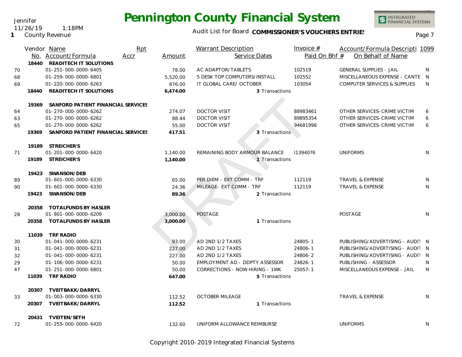Jennifer 11/26/19 1:18PM

**1** County Revenue

## Audit List for Board COMMISSIONER'S VOUCHERS ENTRIES<br>Page 7

|    |       | Vendor Name                              | Rpt  |          | <b>Warrant Description</b>     | Invoice $#$   | Account/Formula Descripti 1099          |   |
|----|-------|------------------------------------------|------|----------|--------------------------------|---------------|-----------------------------------------|---|
|    |       | No. Account/Formula                      | Accr | Amount   | Service Dates                  | Paid On Bhf # | On Behalf of Name                       |   |
|    | 18440 | READITECH IT SOLUTIONS                   |      |          |                                |               |                                         |   |
| 70 |       | 01-251-000-0000-6405                     |      | 78.00    | AC ADAPTOR/TABLETS             | 102519        | <b>GENERAL SUPPLIES - JAIL</b>          | N |
| 68 |       | 01-259-000-0000-6801                     |      | 5,520.00 | 5 DESK TOP COMPUTERS/INSTALL   | 102552        | MISCELLANEOUS EXPENSE - CANTE N         |   |
| 69 |       | 01-220-000-0000-6263                     |      | 876.00   | IT GLOBAL CARE/ OCTOBER        | 103054        | <b>COMPUTER SERVICES &amp; SUPPLIES</b> | N |
|    | 18440 | READITECH IT SOLUTIONS                   |      | 6,474.00 | 3 Transactions                 |               |                                         |   |
|    |       | 19369 SANFORD PATIENT FINANCIAL SERVICES |      |          |                                |               |                                         |   |
| 64 |       | 01-270-000-0000-6262                     |      | 274.07   | <b>DOCTOR VISIT</b>            | 88983461      | OTHER SERVICES-CRIME VICTIM             | 6 |
| 63 |       | 01-270-000-0000-6262                     |      | 88.44    | <b>DOCTOR VISIT</b>            | 89895354      | OTHER SERVICES-CRIME VICTIM             | 6 |
| 65 |       | 01-270-000-0000-6262                     |      | 55.00    | <b>DOCTOR VISIT</b>            | 94681998      | OTHER SERVICES-CRIME VICTIM             | 6 |
|    | 19369 | SANFORD PATIENT FINANCIAL SERVICES       |      | 417.51   | 3 Transactions                 |               |                                         |   |
|    |       | 19189 STREICHER'S                        |      |          |                                |               |                                         |   |
| 71 |       | 01-201-000-0000-6420                     |      | 1,140.00 | REMAINING BODY ARMOUR BALANCE  | 11394076      | <b>UNIFORMS</b>                         | N |
|    |       | 19189 STREICHER'S                        |      | 1,140.00 | 1 Transactions                 |               |                                         |   |
|    |       | 19423 SWANSON/DEB                        |      |          |                                |               |                                         |   |
| 89 |       | 01-601-000-0000-6330                     |      | 65.00    | PER DIEM - EXT COMM - TRF      | 112119        | TRAVEL & EXPENSE                        | N |
| 90 |       | 01-601-000-0000-6330                     |      | 24.36    | MILEAGE- EXT COMM - TRF        | 112119        | <b>TRAVEL &amp; EXPENSE</b>             | N |
|    | 19423 | SWANSON/DEB                              |      | 89.36    | 2 Transactions                 |               |                                         |   |
|    | 20358 | TOTALFUNDS BY HASLER                     |      |          |                                |               |                                         |   |
| 28 |       | 01-801-000-0000-6209                     |      | 3,000.00 | <b>POSTAGE</b>                 |               | <b>POSTAGE</b>                          | N |
|    | 20358 | TOTALFUNDS BY HASLER                     |      | 3,000.00 | 1 Transactions                 |               |                                         |   |
|    |       | 11039 TRF RADIO                          |      |          |                                |               |                                         |   |
| 30 |       | 01-041-000-0000-6231                     |      | 93.00    | AD 2ND 1/2 TAXES               | 24805-1       | PUBLISHING/ADVERTISING - AUDIT N        |   |
| 31 |       | 01-041-000-0000-6231                     |      | 227.00   | AD 2ND 1/2 TAXES               | 24806-1       | PUBLISHING/ADVERTISING - AUDIT N        |   |
| 32 |       | 01-041-000-0000-6231                     |      | 227.00   | AD 2ND 1/2 TAXES               | 24806-2       | PUBLISHING/ADVERTISING - AUDIT N        |   |
| 29 |       | 01-106-000-0000-6231                     |      | 50.00    | EMPLOYMENT AD - DDPTY ASSESSOR | 24826-1       | PUBLISHING - ASSESSOR                   | N |
| 47 |       | 01-251-000-0000-6801                     |      | 50.00    | CORRECTIONS - NOW HIRING - 1WK | $25057 - 1$   | MISCELLANEOUS EXPENSE - JAIL            | N |
|    | 11039 | TRF RADIO                                |      | 647.00   | 5 Transactions                 |               |                                         |   |
|    | 20307 | TVEITBAKK/DARRYL                         |      |          |                                |               |                                         |   |
| 33 |       | 01-003-000-0000-6330                     |      | 112.52   | <b>OCTOBER MILEAGE</b>         |               | <b>TRAVEL &amp; EXPENSE</b>             | N |
|    | 20307 | TVEITBAKK/DARRYL                         |      | 112.52   | 1 Transactions                 |               |                                         |   |
|    |       | 20431 TVEITEN/SETH                       |      |          |                                |               |                                         |   |
| 72 |       | 01-255-000-0000-6420                     |      | 132.60   | UNIFORM ALLOWANCE REIMBURSE    |               | <b>UNIFORMS</b>                         | N |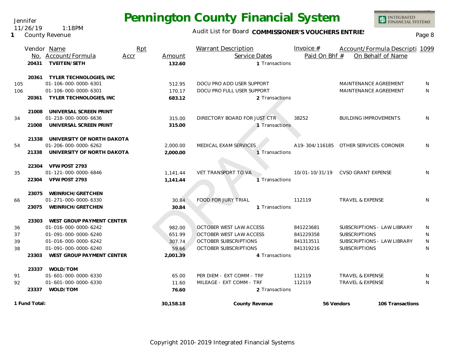Audit List for Board COMMISSIONER'S VOUCHERS ENTRIES

|     | No.   | Vendor Name<br>Account/Formula   | Rpt<br>Accr | Amount   | Warrant Description<br>Service Dates | Invoice $#$<br>Paid On Bhf # | Account/Formula Descripti 1099<br>On Behalf of Name |              |
|-----|-------|----------------------------------|-------------|----------|--------------------------------------|------------------------------|-----------------------------------------------------|--------------|
|     | 20431 | <b>TVEITEN/SETH</b>              |             | 132.60   | 1 Transactions                       |                              |                                                     |              |
|     | 20361 | TYLER TECHNOLOGIES, INC          |             |          |                                      |                              |                                                     |              |
| 105 |       | 01-106-000-0000-6301             |             | 512.95   | DOCU PRO ADD USER SUPPORT            |                              | MAINTENANCE AGREEMENT                               | <sup>N</sup> |
| 106 |       | 01-106-000-0000-6301             |             | 170.17   | DOCU PRO FULL USER SUPPORT           |                              | MAINTENANCE AGREEMENT                               | <sup>N</sup> |
|     | 20361 | TYLER TECHNOLOGIES, INC          |             | 683.12   | 2 Transactions                       |                              |                                                     |              |
|     |       | 21008 UNIVERSAL SCREEN PRINT     |             |          |                                      |                              |                                                     |              |
| 34  |       | 01-218-000-0000-6636             |             | 315.00   | DIRECTORY BOARD FOR JUST CTR         | 38252                        | <b>BUILDING IMPROVEMENTS</b>                        | N            |
|     | 21008 | UNIVERSAL SCREEN PRINT           |             | 315.00   | 1 Transactions                       |                              |                                                     |              |
|     |       | 21338 UNIVERSITY OF NORTH DAKOTA |             |          |                                      |                              |                                                     |              |
| 54  |       | 01-206-000-0000-6262             |             | 2,000.00 | MEDICAL EXAM SERVICES                |                              | A19-304/116185 OTHER SERVICES-CORONER               | N            |
|     | 21338 | UNIVERSITY OF NORTH DAKOTA       |             | 2,000.00 | 1 Transactions                       |                              |                                                     |              |
|     |       | 22304 VFW POST 2793              |             |          |                                      |                              |                                                     |              |
| 35  |       | 01-121-000-0000-6846             |             | 1.141.44 | VET TRANSPORT TO VA                  |                              | 10/01-10/31/19 CVSO GRANT EXPENSE                   | N            |
|     | 22304 | VFW POST 2793                    |             | 1,141.44 | Transactions                         |                              |                                                     |              |
|     | 23075 | WEINRICH/GRETCHEN                |             |          |                                      |                              |                                                     |              |
| 66  |       | 01-271-000-0000-6330             |             | 30.84    | <b>FOOD FOR JURY TRIAL</b>           | 112119                       | <b>TRAVEL &amp; EXPENSE</b>                         | <sup>N</sup> |
|     | 23075 | WEINRICH/GRETCHEN                |             | 30.84    | 1 Transactions                       |                              |                                                     |              |
|     | 23303 | WEST GROUP PAYMENT CENTER        |             |          |                                      |                              |                                                     |              |
| 36  |       | 01-016-000-0000-6242             |             | 982.00   | <b>OCTOBER WEST LAW ACCESS</b>       | 841223681                    | SUBSCRIPTIONS - LAW LIBRARY                         | N            |
| 37  |       | 01-091-000-0000-6240             |             | 651.99   | OCTOBER WEST LAW ACCESS              | 841229358                    | <b>SUBSCRIPTIONS</b>                                | N            |
| 39  |       | 01-016-000-0000-6242             |             | 307.74   | <b>OCTOBER SUBSCRIPTIONS</b>         | 841313511                    | SUBSCRIPTIONS - LAW LIBRARY                         | N            |
| 38  |       | 01-091-000-0000-6240             |             | 59.66    | <b>OCTOBER SUBSCRIPTIONS</b>         | 841319216                    | <b>SUBSCRIPTIONS</b>                                | N            |
|     |       | 23303 MEST CROUD RAVMENT CENTER  |             | 2.001.20 | a Trancactione                       |                              |                                                     |              |

|    | 23075<br>WEINRICH/GRETCHEN         |          |                            |           |                             |    |
|----|------------------------------------|----------|----------------------------|-----------|-----------------------------|----|
| 66 | 01-271-000-0000-6330               | 30.84    | <b>FOOD FOR JURY TRIAL</b> | 112119    | <b>TRAVEL &amp; EXPENSE</b> | N. |
|    | WEINRICH/GRETCHEN<br>23075         | 30.84    | 1 Transactions             |           |                             |    |
|    | 23303<br>WEST GROUP PAYMENT CENTER |          |                            |           |                             |    |
| 36 | 01-016-000-0000-6242               | 982.00   | OCTOBER WEST LAW ACCESS    | 841223681 | SUBSCRIPTIONS - LAW LIBRARY | N  |
| 37 | $01 - 091 - 000 - 0000 - 6240$     | 651.99   | OCTOBER WEST LAW ACCESS    | 841229358 | <b>SUBSCRIPTIONS</b>        | N. |
| 39 | 01-016-000-0000-6242               | 307.74   | OCTOBER SUBSCRIPTIONS      | 841313511 | SUBSCRIPTIONS - LAW LIBRARY | N  |
| 38 | $01 - 091 - 000 - 0000 - 6240$     | 59.66    | OCTOBER SUBSCRIPTIONS      | 841319216 | <b>SUBSCRIPTIONS</b>        | N  |
|    | 23303<br>WEST GROUP PAYMENT CENTER | 2.001.39 | 4 Transactions             |           |                             |    |
|    | 23337<br>WOLD/TOM                  |          |                            |           |                             |    |
| 91 | 01-601-000-0000-6330               | 65.00    | PER DIEM - EXT COMM - TRF  | 112119    | <b>TRAVEL &amp; EXPENSE</b> | N. |
| 92 | 01-601-000-0000-6330               | 11.60    | MILEAGE - EXT COMM - TRF   | 112119    | <b>TRAVEL &amp; EXPENSE</b> | N. |
|    |                                    |          |                            |           |                             |    |

Jennifer 11/26/19 1:18PM

**1** County Revenue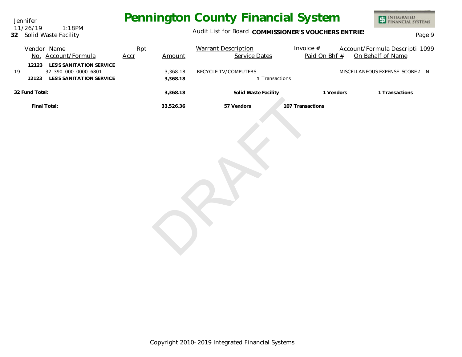Jennifer **32** Solid Waste Facility 11/26/19 1:18PM

## Audit List for Board COMMISSIONER'S VOUCHERS ENTRIES<br>Page 9

| Vendor Name<br>No. Account/Formula                                                                | Rpt<br>Accr | Amount               | <b>Warrant Description</b><br><b>Service Dates</b> | Invoice $#$<br>Paid On Bhf # | Account/Formula Descripti 1099<br>On Behalf of Name |
|---------------------------------------------------------------------------------------------------|-------------|----------------------|----------------------------------------------------|------------------------------|-----------------------------------------------------|
| LES'S SANITATION SERVICE<br>12123<br>32-390-000-0000-6801<br>19<br>12123 LES'S SANITATION SERVICE |             | 3,368.18<br>3,368.18 | RECYCLE TV/COMPUTERS<br>1 Transactions             |                              | MISCELLANEOUS EXPENSE-SCORE / N                     |
| 32 Fund Total:                                                                                    |             | 3,368.18             | Solid Waste Facility                               | 1 Vendors                    | 1 Transactions                                      |
| Final Total:                                                                                      |             | 33,526.36            | 57 Vendors                                         | 107 Transactions             |                                                     |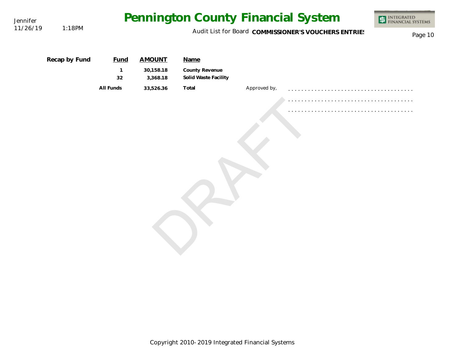| Jennifer |               |                    |                       | Pennington County Financial System     |              |                                                      | INTEGRATED<br>FINANCIAL SYSTEMS |
|----------|---------------|--------------------|-----------------------|----------------------------------------|--------------|------------------------------------------------------|---------------------------------|
| 11/26/19 | 1:18PM        |                    |                       |                                        |              | Audit List for Board COMMISSIONER'S VOUCHERS ENTRIES | Page 10                         |
|          | Recap by Fund | <b>Fund</b>        | <b>AMOUNT</b>         | Name                                   |              |                                                      |                                 |
|          |               | $\mathbf{1}$<br>32 | 30,158.18<br>3,368.18 | County Revenue<br>Solid Waste Facility |              |                                                      |                                 |
|          |               | All Funds          | 33,526.36             | Total                                  | Approved by, |                                                      |                                 |
|          |               |                    |                       |                                        |              |                                                      |                                 |
|          |               |                    |                       |                                        |              |                                                      |                                 |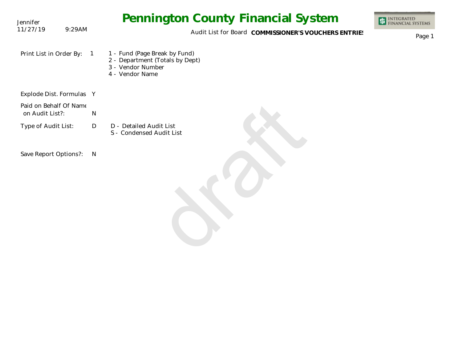| Jennifer                                  | <b>Pennington County Financial System</b>                                                                                  | <b>ET INTEGRATED</b><br><b>FINANCIAL SYSTEMS</b> |
|-------------------------------------------|----------------------------------------------------------------------------------------------------------------------------|--------------------------------------------------|
| 11/27/19<br>9:29AM                        | Audit List for Board COMMISSIONER'S VOUCHERS ENTRIES                                                                       | Page 1                                           |
| Print List in Order By:                   | 1 - Fund (Page Break by Fund)<br>$\overline{1}$<br>2 - Department (Totals by Dept)<br>3 - Vendor Number<br>4 - Vendor Name |                                                  |
| Explode Dist. Formulas Y                  |                                                                                                                            |                                                  |
| Paid on Behalf Of Name<br>on Audit List?: | ${\sf N}$                                                                                                                  |                                                  |
| Type of Audit List:                       | D - Detailed Audit List<br>D<br>S - Condensed Audit List                                                                   |                                                  |
| Save Report Options?:                     | N                                                                                                                          |                                                  |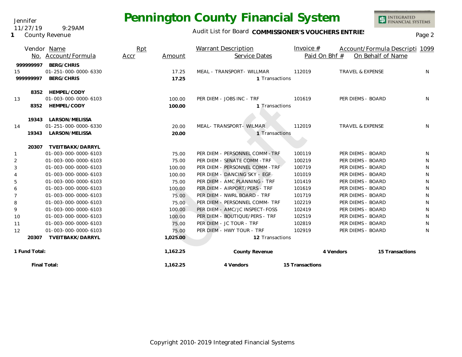11/27/19 9:29AM

**1** County Revenue

Jennifer

## Audit List for Board COMMISSIONER'S VOUCHERS ENTRIES<br>Page 2

|                |               | Vendor Name          | Rpt  |          | Warrant Description             | Invoice $#$     |                             | Account/Formula Descripti 1099 |  |
|----------------|---------------|----------------------|------|----------|---------------------------------|-----------------|-----------------------------|--------------------------------|--|
|                | No.           | Account/Formula      | Accr | Amount   | Service Dates                   | Paid On Bhf #   |                             | On Behalf of Name              |  |
|                | 999999997     | <b>BERG/CHRIS</b>    |      |          |                                 |                 |                             |                                |  |
| 15             |               | 01-251-000-0000-6330 |      | 17.25    | MEAL - TRANSPORT - WILLMAR      | 112019          | <b>TRAVEL &amp; EXPENSE</b> | N.                             |  |
|                | 999999997     | BERG/CHRIS           |      | 17.25    | 1 Transactions                  |                 |                             |                                |  |
|                | 8352          | HEMPEL/CODY          |      |          |                                 |                 |                             |                                |  |
| 13             |               | 01-003-000-0000-6103 |      | 100.00   | PER DIEM - JOBS INC - TRF       | 101619          | PER DIEMS - BOARD           | N.                             |  |
|                | 8352          | HEMPEL/CODY          |      | 100.00   | 1 Transactions                  |                 |                             |                                |  |
|                | 19343         | LARSON/MELISSA       |      |          |                                 |                 |                             |                                |  |
| 14             |               | 01-251-000-0000-6330 |      | 20.00    | MEAL- TRANSPORT- WILMAR         | 112019          | <b>TRAVEL &amp; EXPENSE</b> | N.                             |  |
|                | 19343         | LARSON/MELISSA       |      | 20.00    | 1 Transactions                  |                 |                             |                                |  |
|                |               |                      |      |          |                                 |                 |                             |                                |  |
|                | 20307         | TVEITBAKK/DARRYL     |      |          |                                 |                 |                             |                                |  |
| 1              |               | 01-003-000-0000-6103 |      | 75.00    | PER DIEM - PERSONNEL COMM - TRF | 100119          | PER DIEMS - BOARD           | N                              |  |
| 2              |               | 01-003-000-0000-6103 |      | 75.00    | PER DIEM - SENATE COMM - TRF    | 100219          | PER DIEMS - BOARD           | N                              |  |
| 3              |               | 01-003-000-0000-6103 |      | 100.00   | PER DIEM - PERSONNEL COMM - TRF | 100719          | PER DIEMS - BOARD           | N                              |  |
| 4              |               | 01-003-000-0000-6103 |      | 100.00   | PER DIEM - DANCING SKY - EGF    | 101019          | PER DIEMS - BOARD           | N                              |  |
| 5              |               | 01-003-000-0000-6103 |      | 75.00    | PER DIEM - AMC PLANNING - TRF   | 101419          | PER DIEMS - BOARD           | N                              |  |
| 6              |               | 01-003-000-0000-6103 |      | 100.00   | PER DIEM - AIRPORT/PERS - TRF   | 101619          | PER DIEMS - BOARD           | N                              |  |
| $\overline{7}$ |               | 01-003-000-0000-6103 |      | 75.00    | PER DIEM - NWRL BOARD - TRF     | 101719          | PER DIEMS - BOARD           | N                              |  |
| 8              |               | 01-003-000-0000-6103 |      | 75.00    | PER DIEM - PERSONNEL COMM- TRF  | 102219          | PER DIEMS - BOARD           | N                              |  |
| 9              |               | 01-003-000-0000-6103 |      | 100.00   | PER DIEM - AMC/JC INSPECT-FOSS  | 102419          | PER DIEMS - BOARD           | N                              |  |
| 10             |               | 01-003-000-0000-6103 |      | 100.00   | PER DIEM - BOUTIQUE/PERS - TRF  | 102519          | PER DIEMS - BOARD           | N                              |  |
| 11             |               | 01-003-000-0000-6103 |      | 75.00    | PER DIEM - JC TOUR - TRF        | 102819          | PER DIEMS - BOARD           | N                              |  |
| 12             |               | 01-003-000-0000-6103 |      | 75.00    | PER DIEM - HWY TOUR - TRF       | 102919          | PER DIEMS - BOARD           | N                              |  |
|                | 20307         | TVEITBAKK/DARRYL     |      | 1,025.00 | 12 Transactions                 |                 |                             |                                |  |
|                | 1 Fund Total: |                      |      | 1,162.25 | County Revenue                  |                 | 4 Vendors                   | 15 Transactions                |  |
|                |               | Final Total:         |      | 1,162.25 | 4 Vendors                       | 15 Transactions |                             |                                |  |